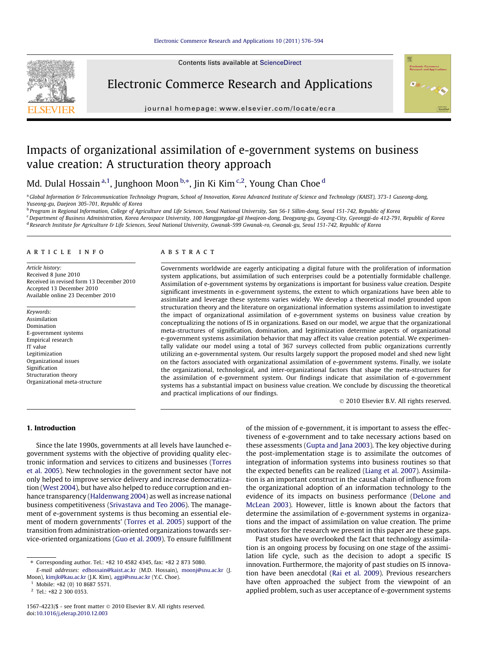Contents lists available at ScienceDirect



Electronic Commerce Research and Applications



journal homepage: www.elsevier.com/locate/ecra

# Impacts of organizational assimilation of e-government systems on business value creation: A structuration theory approach

Md. Dulal Hossain <sup>a, 1</sup>, Junghoon Moon <sup>b,</sup>\*, Jin Ki Kim <sup>c,2</sup>, Young Chan Choe <sup>d</sup>

a Global Information & Telecommunication Technology Program, School of Innovation, Korea Advanced Institute of Science and Technology (KAIST), 373-1 Guseong-dong, Yuseong-gu, Daejeon 305-701, Republic of Korea

<sup>b</sup> Program in Regional Information, College of Agriculture and Life Sciences, Seoul National University, San 56-1 Sillim-dong, Seoul 151-742, Republic of Korea

<sup>c</sup> Department of Business Administration, Korea Aerospace University, 100 Hanggongdae-gil Hwajeon-dong, Deogyang-gu, Goyang-City, Gyeonggi-do 412-791, Republic of Korea

d Research Institute for Agriculture & Life Sciences, Seoul National University, Gwanak-599 Gwanak-ro, Gwanak-gu, Seoul 151-742, Republic of Korea

### article info

Article history: Received 8 June 2010 Received in revised form 13 December 2010 Accepted 13 December 2010 Available online 23 December 2010

Keywords: Assimilation Domination E-government systems Empirical research IT value Legitimization Organizational issues Signification Structuration theory Organizational meta-structure

# ABSTRACT

Governments worldwide are eagerly anticipating a digital future with the proliferation of information system applications, but assimilation of such enterprises could be a potentially formidable challenge. Assimilation of e-government systems by organizations is important for business value creation. Despite significant investments in e-government systems, the extent to which organizations have been able to assimilate and leverage these systems varies widely. We develop a theoretical model grounded upon structuration theory and the literature on organizational information systems assimilation to investigate the impact of organizational assimilation of e-government systems on business value creation by conceptualizing the notions of IS in organizations. Based on our model, we argue that the organizational meta-structures of signification, domination, and legitimization determine aspects of organizational e-government systems assimilation behavior that may affect its value creation potential. We experimentally validate our model using a total of 367 surveys collected from public organizations currently utilizing an e-governmental system. Our results largely support the proposed model and shed new light on the factors associated with organizational assimilation of e-government systems. Finally, we isolate the organizational, technological, and inter-organizational factors that shape the meta-structures for the assimilation of e-government system. Our findings indicate that assimilation of e-government systems has a substantial impact on business value creation. We conclude by discussing the theoretical and practical implications of our findings.

© 2010 Elsevier B.V. All rights reserved.

# 1. Introduction

Since the late 1990s, governments at all levels have launched egovernment systems with the objective of providing quality electronic information and services to citizens and businesses (Torres et al. 2005). New technologies in the government sector have not only helped to improve service delivery and increase democratization (West 2004), but have also helped to reduce corruption and enhance transparency (Haldenwang 2004) as well as increase national business competitiveness (Srivastava and Teo 2006). The management of e-government systems is thus becoming an essential element of modern governments' (Torres et al. 2005) support of the transition from administration-oriented organizations towards service-oriented organizations (Guo et al. 2009). To ensure fulfillment of the mission of e-government, it is important to assess the effectiveness of e-government and to take necessary actions based on these assessments (Gupta and Jana 2003). The key objective during the post-implementation stage is to assimilate the outcomes of integration of information systems into business routines so that the expected benefits can be realized (Liang et al. 2007). Assimilation is an important construct in the causal chain of influence from the organizational adoption of an information technology to the evidence of its impacts on business performance (DeLone and McLean 2003). However, little is known about the factors that determine the assimilation of e-government systems in organizations and the impact of assimilation on value creation. The prime motivators for the research we present in this paper are these gaps.

Past studies have overlooked the fact that technology assimilation is an ongoing process by focusing on one stage of the assimilation life cycle, such as the decision to adopt a specific IS innovation. Furthermore, the majority of past studies on IS innovation have been anecdotal (Rai et al. 2009). Previous researchers have often approached the subject from the viewpoint of an applied problem, such as user acceptance of e-government systems

<sup>⇑</sup> Corresponding author. Tel.: +82 10 4582 4345, fax: +82 2 873 5080. E-mail addresses: edhossain@kaist.ac.kr (M.D. Hossain), moonj@snu.ac.kr (J. Moon), kimjk@kau.ac.kr (J.K. Kim), aggi@snu.ac.kr (Y.C. Choe).

 $1$  Mobile: +82 (0) 10 8687 5571.

<sup>2</sup> Tel.: +82 2 300 0353.

<sup>1567-4223/\$ -</sup> see front matter @ 2010 Elsevier B.V. All rights reserved. doi:10.1016/j.elerap.2010.12.003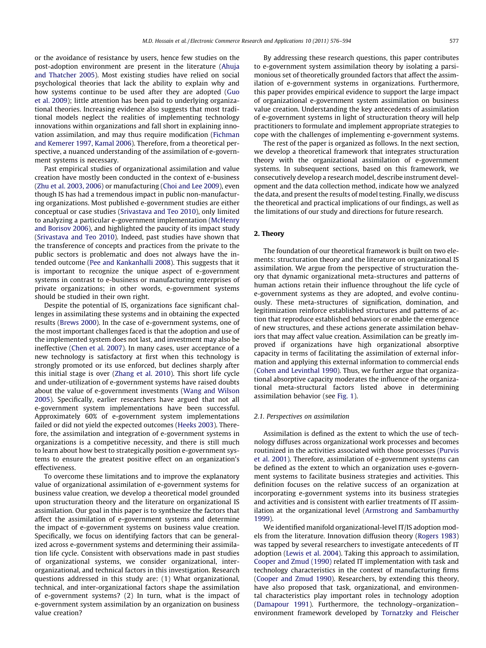or the avoidance of resistance by users, hence few studies on the post-adoption environment are present in the literature (Ahuja and Thatcher 2005). Most existing studies have relied on social psychological theories that lack the ability to explain why and how systems continue to be used after they are adopted (Guo et al. 2009); little attention has been paid to underlying organizational theories. Increasing evidence also suggests that most traditional models neglect the realities of implementing technology innovations within organizations and fall short in explaining innovation assimilation, and may thus require modification (Fichman and Kemerer 1997, Kamal 2006). Therefore, from a theoretical perspective, a nuanced understanding of the assimilation of e-government systems is necessary.

Past empirical studies of organizational assimilation and value creation have mostly been conducted in the context of e-business (Zhu et al. 2003, 2006) or manufacturing (Choi and Lee 2009), even though IS has had a tremendous impact in public non-manufacturing organizations. Most published e-government studies are either conceptual or case studies (Srivastava and Teo 2010), only limited to analyzing a particular e-government implementation (McHenry and Borisov 2006), and highlighted the paucity of its impact study (Srivastava and Teo 2010). Indeed, past studies have shown that the transference of concepts and practices from the private to the public sectors is problematic and does not always have the intended outcome (Pee and Kankanhalli 2008). This suggests that it is important to recognize the unique aspect of e-government systems in contrast to e-business or manufacturing enterprises of private organizations; in other words, e-government systems should be studied in their own right.

Despite the potential of IS, organizations face significant challenges in assimilating these systems and in obtaining the expected results (Brews 2000). In the case of e-government systems, one of the most important challenges faced is that the adoption and use of the implemented system does not last, and investment may also be ineffective (Chen et al. 2007). In many cases, user acceptance of a new technology is satisfactory at first when this technology is strongly promoted or its use enforced, but declines sharply after this initial stage is over (Zhang et al. 2010). This short life cycle and under-utilization of e-government systems have raised doubts about the value of e-government investments (Wang and Wilson 2005). Specifically, earlier researchers have argued that not all e-government system implementations have been successful. Approximately 60% of e-government system implementations failed or did not yield the expected outcomes (Heeks 2003). Therefore, the assimilation and integration of e-government systems in organizations is a competitive necessity, and there is still much to learn about how best to strategically position e-government systems to ensure the greatest positive effect on an organization's effectiveness.

To overcome these limitations and to improve the explanatory value of organizational assimilation of e-government systems for business value creation, we develop a theoretical model grounded upon structuration theory and the literature on organizational IS assimilation. Our goal in this paper is to synthesize the factors that affect the assimilation of e-government systems and determine the impact of e-government systems on business value creation. Specifically, we focus on identifying factors that can be generalized across e-government systems and determining their assimilation life cycle. Consistent with observations made in past studies of organizational systems, we consider organizational, interorganizational, and technical factors in this investigation. Research questions addressed in this study are: (1) What organizational, technical, and inter-organizational factors shape the assimilation of e-government systems? (2) In turn, what is the impact of e-government system assimilation by an organization on business value creation?

By addressing these research questions, this paper contributes to e-government system assimilation theory by isolating a parsimonious set of theoretically grounded factors that affect the assimilation of e-government systems in organizations. Furthermore, this paper provides empirical evidence to support the large impact of organizational e-government system assimilation on business value creation. Understanding the key antecedents of assimilation of e-government systems in light of structuration theory will help practitioners to formulate and implement appropriate strategies to cope with the challenges of implementing e-government systems.

The rest of the paper is organized as follows. In the next section, we develop a theoretical framework that integrates structuration theory with the organizational assimilation of e-government systems. In subsequent sections, based on this framework, we consecutively develop a research model, describe instrument development and the data collection method, indicate how we analyzed the data, and present the results of model testing. Finally, we discuss the theoretical and practical implications of our findings, as well as the limitations of our study and directions for future research.

# 2. Theory

The foundation of our theoretical framework is built on two elements: structuration theory and the literature on organizational IS assimilation. We argue from the perspective of structuration theory that dynamic organizational meta-structures and patterns of human actions retain their influence throughout the life cycle of e-government systems as they are adopted, and evolve continuously. These meta-structures of signification, domination, and legitimization reinforce established structures and patterns of action that reproduce established behaviors or enable the emergence of new structures, and these actions generate assimilation behaviors that may affect value creation. Assimilation can be greatly improved if organizations have high organizational absorptive capacity in terms of facilitating the assimilation of external information and applying this external information to commercial ends (Cohen and Levinthal 1990). Thus, we further argue that organizational absorptive capacity moderates the influence of the organizational meta-structural factors listed above in determining assimilation behavior (see Fig. 1).

### 2.1. Perspectives on assimilation

Assimilation is defined as the extent to which the use of technology diffuses across organizational work processes and becomes routinized in the activities associated with those processes (Purvis et al. 2001). Therefore, assimilation of e-government systems can be defined as the extent to which an organization uses e-government systems to facilitate business strategies and activities. This definition focuses on the relative success of an organization at incorporating e-government systems into its business strategies and activities and is consistent with earlier treatments of IT assimilation at the organizational level (Armstrong and Sambamurthy 1999).

We identified manifold organizational-level IT/IS adoption models from the literature. Innovation diffusion theory (Rogers 1983) was tapped by several researchers to investigate antecedents of IT adoption (Lewis et al. 2004). Taking this approach to assimilation, Cooper and Zmud (1990) related IT implementation with task and technology characteristics in the context of manufacturing firms (Cooper and Zmud 1990). Researchers, by extending this theory, have also proposed that task, organizational, and environmental characteristics play important roles in technology adoption (Damapour 1991). Furthermore, the technology–organization– environment framework developed by Tornatzky and Fleischer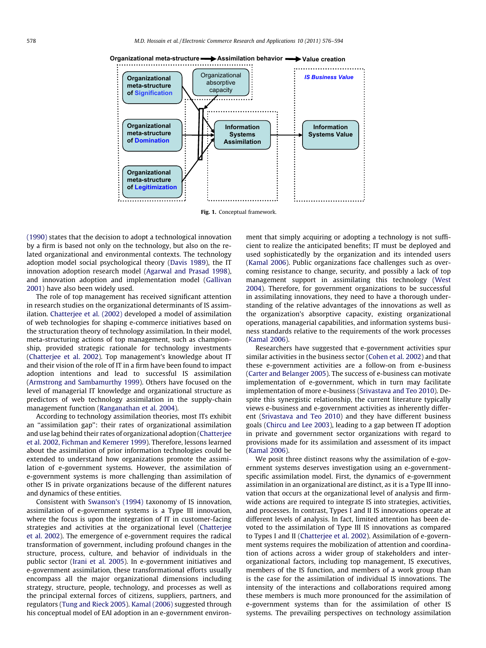

**Organizational meta-structure Assimilation behavior Value creation**

Fig. 1. Conceptual framework.

(1990) states that the decision to adopt a technological innovation by a firm is based not only on the technology, but also on the related organizational and environmental contexts. The technology adoption model social psychological theory (Davis 1989), the IT innovation adoption research model (Agarwal and Prasad 1998), and innovation adoption and implementation model (Gallivan 2001) have also been widely used.

The role of top management has received significant attention in research studies on the organizational determinants of IS assimilation. Chatterjee et al. (2002) developed a model of assimilation of web technologies for shaping e-commerce initiatives based on the structuration theory of technology assimilation. In their model, meta-structuring actions of top management, such as championship, provided strategic rationale for technology investments (Chatterjee et al. 2002). Top management's knowledge about IT and their vision of the role of IT in a firm have been found to impact adoption intentions and lead to successful IS assimilation (Armstrong and Sambamurthy 1999). Others have focused on the level of managerial IT knowledge and organizational structure as predictors of web technology assimilation in the supply-chain management function (Ranganathan et al. 2004).

According to technology assimilation theories, most ITs exhibit an ''assimilation gap'': their rates of organizational assimilation and use lag behind their rates of organizational adoption (Chatterjee et al. 2002, Fichman and Kemerer 1999). Therefore, lessons learned about the assimilation of prior information technologies could be extended to understand how organizations promote the assimilation of e-government systems. However, the assimilation of e-government systems is more challenging than assimilation of other IS in private organizations because of the different natures and dynamics of these entities.

Consistent with Swanson's (1994) taxonomy of IS innovation, assimilation of e-government systems is a Type III innovation, where the focus is upon the integration of IT in customer-facing strategies and activities at the organizational level (Chatterjee et al. 2002). The emergence of e-government requires the radical transformation of government, including profound changes in the structure, process, culture, and behavior of individuals in the public sector (Irani et al. 2005). In e-government initiatives and e-government assimilation, these transformational efforts usually encompass all the major organizational dimensions including strategy, structure, people, technology, and processes as well as the principal external forces of citizens, suppliers, partners, and regulators (Tung and Rieck 2005). Kamal (2006) suggested through his conceptual model of EAI adoption in an e-government environment that simply acquiring or adopting a technology is not sufficient to realize the anticipated benefits; IT must be deployed and used sophisticatedly by the organization and its intended users (Kamal 2006). Public organizations face challenges such as overcoming resistance to change, security, and possibly a lack of top management support in assimilating this technology (West 2004). Therefore, for government organizations to be successful in assimilating innovations, they need to have a thorough understanding of the relative advantages of the innovations as well as the organization's absorptive capacity, existing organizational operations, managerial capabilities, and information systems business standards relative to the requirements of the work processes (Kamal 2006).

Researchers have suggested that e-government activities spur similar activities in the business sector (Cohen et al. 2002) and that these e-government activities are a follow-on from e-business (Carter and Belanger 2005). The success of e-business can motivate implementation of e-government, which in turn may facilitate implementation of more e-business (Srivastava and Teo 2010). Despite this synergistic relationship, the current literature typically views e-business and e-government activities as inherently different (Srivastava and Teo 2010) and they have different business goals (Chircu and Lee 2003), leading to a gap between IT adoption in private and government sector organizations with regard to provisions made for its assimilation and assessment of its impact (Kamal 2006).

We posit three distinct reasons why the assimilation of e-government systems deserves investigation using an e-governmentspecific assimilation model. First, the dynamics of e-government assimilation in an organizational are distinct, as it is a Type III innovation that occurs at the organizational level of analysis and firmwide actions are required to integrate IS into strategies, activities, and processes. In contrast, Types I and II IS innovations operate at different levels of analysis. In fact, limited attention has been devoted to the assimilation of Type III IS innovations as compared to Types I and II (Chatterjee et al. 2002). Assimilation of e-government systems requires the mobilization of attention and coordination of actions across a wider group of stakeholders and interorganizational factors, including top management, IS executives, members of the IS function, and members of a work group than is the case for the assimilation of individual IS innovations. The intensity of the interactions and collaborations required among these members is much more pronounced for the assimilation of e-government systems than for the assimilation of other IS systems. The prevailing perspectives on technology assimilation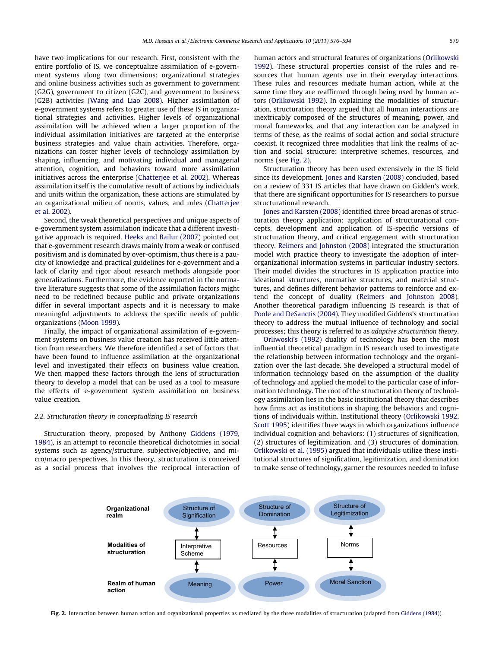have two implications for our research. First, consistent with the entire portfolio of IS, we conceptualize assimilation of e-government systems along two dimensions: organizational strategies and online business activities such as government to government (G2G), government to citizen (G2C), and government to business (G2B) activities (Wang and Liao 2008). Higher assimilation of e-government systems refers to greater use of these IS in organizational strategies and activities. Higher levels of organizational assimilation will be achieved when a larger proportion of the individual assimilation initiatives are targeted at the enterprise business strategies and value chain activities. Therefore, organizations can foster higher levels of technology assimilation by shaping, influencing, and motivating individual and managerial attention, cognition, and behaviors toward more assimilation initiatives across the enterprise (Chatterjee et al. 2002). Whereas assimilation itself is the cumulative result of actions by individuals and units within the organization, these actions are stimulated by an organizational milieu of norms, values, and rules (Chatterjee et al. 2002).

Second, the weak theoretical perspectives and unique aspects of e-government system assimilation indicate that a different investigative approach is required. Heeks and Bailur (2007) pointed out that e-government research draws mainly from a weak or confused positivism and is dominated by over-optimism, thus there is a paucity of knowledge and practical guidelines for e-government and a lack of clarity and rigor about research methods alongside poor generalizations. Furthermore, the evidence reported in the normative literature suggests that some of the assimilation factors might need to be redefined because public and private organizations differ in several important aspects and it is necessary to make meaningful adjustments to address the specific needs of public organizations (Moon 1999).

Finally, the impact of organizational assimilation of e-government systems on business value creation has received little attention from researchers. We therefore identified a set of factors that have been found to influence assimilation at the organizational level and investigated their effects on business value creation. We then mapped these factors through the lens of structuration theory to develop a model that can be used as a tool to measure the effects of e-government system assimilation on business value creation.

# 2.2. Structuration theory in conceptualizing IS research

Structuration theory, proposed by Anthony Giddens (1979, 1984), is an attempt to reconcile theoretical dichotomies in social systems such as agency/structure, subjective/objective, and micro/macro perspectives. In this theory, structuration is conceived as a social process that involves the reciprocal interaction of human actors and structural features of organizations (Orlikowski 1992). These structural properties consist of the rules and resources that human agents use in their everyday interactions. These rules and resources mediate human action, while at the same time they are reaffirmed through being used by human actors (Orlikowski 1992). In explaining the modalities of structuration, structuration theory argued that all human interactions are inextricably composed of the structures of meaning, power, and moral frameworks, and that any interaction can be analyzed in terms of these, as the realms of social action and social structure coexist. It recognized three modalities that link the realms of action and social structure: interpretive schemes, resources, and norms (see Fig. 2).

Structuration theory has been used extensively in the IS field since its development. Jones and Karsten (2008) concluded, based on a review of 331 IS articles that have drawn on Gidden's work, that there are significant opportunities for IS researchers to pursue structurational research.

Jones and Karsten (2008) identified three broad arenas of structuration theory application: application of structurational concepts, development and application of IS-specific versions of structuration theory, and critical engagement with structuration theory. Reimers and Johnston (2008) integrated the structuration model with practice theory to investigate the adoption of interorganizational information systems in particular industry sectors. Their model divides the structures in IS application practice into ideational structures, normative structures, and material structures, and defines different behavior patterns to reinforce and extend the concept of duality (Reimers and Johnston 2008). Another theoretical paradigm influencing IS research is that of Poole and DeSanctis (2004). They modified Giddens's structuration theory to address the mutual influence of technology and social processes; this theory is referred to as adaptive structuration theory.

Orliwoski's (1992) duality of technology has been the most influential theoretical paradigm in IS research used to investigate the relationship between information technology and the organization over the last decade. She developed a structural model of information technology based on the assumption of the duality of technology and applied the model to the particular case of information technology. The root of the structuration theory of technology assimilation lies in the basic institutional theory that describes how firms act as institutions in shaping the behaviors and cognitions of individuals within. Institutional theory (Orlikowski 1992, Scott 1995) identifies three ways in which organizations influence individual cognition and behaviors: (1) structures of signification, (2) structures of legitimization, and (3) structures of domination. Orlikowski et al. (1995) argued that individuals utilize these institutional structures of signification, legitimization, and domination to make sense of technology, garner the resources needed to infuse



Fig. 2. Interaction between human action and organizational properties as mediated by the three modalities of structuration (adapted from Giddens (1984)).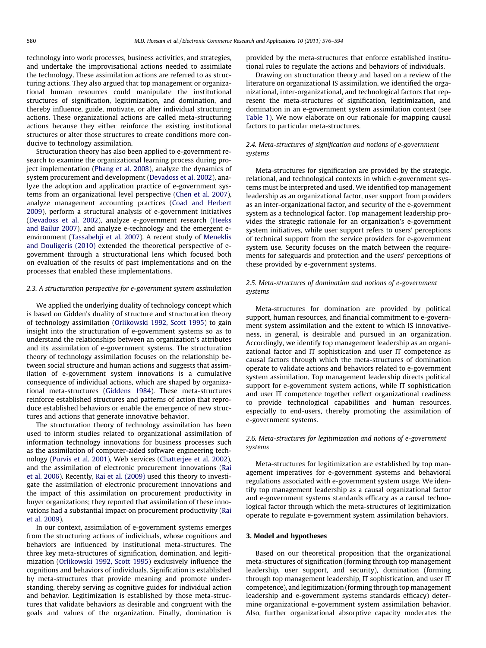technology into work processes, business activities, and strategies, and undertake the improvisational actions needed to assimilate the technology. These assimilation actions are referred to as structuring actions. They also argued that top management or organizational human resources could manipulate the institutional structures of signification, legitimization, and domination, and thereby influence, guide, motivate, or alter individual structuring actions. These organizational actions are called meta-structuring actions because they either reinforce the existing institutional structures or alter those structures to create conditions more conducive to technology assimilation.

Structuration theory has also been applied to e-government research to examine the organizational learning process during project implementation (Phang et al. 2008), analyze the dynamics of system procurement and development (Devadoss et al. 2002), analyze the adoption and application practice of e-government systems from an organizational level perspective (Chen et al. 2007), analyze management accounting practices (Coad and Herbert 2009), perform a structural analysis of e-government initiatives (Devadoss et al. 2002), analyze e-government research (Heeks and Bailur 2007), and analyze e-technology and the emergent eenvironment (Tassabehji et al. 2007). A recent study of Meneklis and Douligeris (2010) extended the theoretical perspective of egovernment through a structurational lens which focused both on evaluation of the results of past implementations and on the processes that enabled these implementations.

# 2.3. A structuration perspective for e-government system assimilation

We applied the underlying duality of technology concept which is based on Gidden's duality of structure and structuration theory of technology assimilation (Orlikowski 1992, Scott 1995) to gain insight into the structuration of e-government systems so as to understand the relationships between an organization's attributes and its assimilation of e-government systems. The structuration theory of technology assimilation focuses on the relationship between social structure and human actions and suggests that assimilation of e-government system innovations is a cumulative consequence of individual actions, which are shaped by organizational meta-structures (Giddens 1984). These meta-structures reinforce established structures and patterns of action that reproduce established behaviors or enable the emergence of new structures and actions that generate innovative behavior.

The structuration theory of technology assimilation has been used to inform studies related to organizational assimilation of information technology innovations for business processes such as the assimilation of computer-aided software engineering technology (Purvis et al. 2001), Web services (Chatterjee et al. 2002), and the assimilation of electronic procurement innovations (Rai et al. 2006). Recently, Rai et al. (2009) used this theory to investigate the assimilation of electronic procurement innovations and the impact of this assimilation on procurement productivity in buyer organizations; they reported that assimilation of these innovations had a substantial impact on procurement productivity (Rai et al. 2009).

In our context, assimilation of e-government systems emerges from the structuring actions of individuals, whose cognitions and behaviors are influenced by institutional meta-structures. The three key meta-structures of signification, domination, and legitimization (Orlikowski 1992, Scott 1995) exclusively influence the cognitions and behaviors of individuals. Signification is established by meta-structures that provide meaning and promote understanding, thereby serving as cognitive guides for individual action and behavior. Legitimization is established by those meta-structures that validate behaviors as desirable and congruent with the goals and values of the organization. Finally, domination is provided by the meta-structures that enforce established institutional rules to regulate the actions and behaviors of individuals.

Drawing on structuration theory and based on a review of the literature on organizational IS assimilation, we identified the organizational, inter-organizational, and technological factors that represent the meta-structures of signification, legitimization, and domination in an e-government system assimilation context (see Table 1). We now elaborate on our rationale for mapping causal factors to particular meta-structures.

# 2.4. Meta-structures of signification and notions of e-government systems

Meta-structures for signification are provided by the strategic, relational, and technological contexts in which e-government systems must be interpreted and used. We identified top management leadership as an organizational factor, user support from providers as an inter-organizational factor, and security of the e-government system as a technological factor. Top management leadership provides the strategic rationale for an organization's e-government system initiatives, while user support refers to users' perceptions of technical support from the service providers for e-government system use. Security focuses on the match between the requirements for safeguards and protection and the users' perceptions of these provided by e-government systems.

# 2.5. Meta-structures of domination and notions of e-government systems

Meta-structures for domination are provided by political support, human resources, and financial commitment to e-government system assimilation and the extent to which IS innovativeness, in general, is desirable and pursued in an organization. Accordingly, we identify top management leadership as an organizational factor and IT sophistication and user IT competence as causal factors through which the meta-structures of domination operate to validate actions and behaviors related to e-government system assimilation. Top management leadership directs political support for e-government system actions, while IT sophistication and user IT competence together reflect organizational readiness to provide technological capabilities and human resources, especially to end-users, thereby promoting the assimilation of e-government systems.

# 2.6. Meta-structures for legitimization and notions of e-government systems

Meta-structures for legitimization are established by top management imperatives for e-government systems and behavioral regulations associated with e-government system usage. We identify top management leadership as a causal organizational factor and e-government systems standards efficacy as a causal technological factor through which the meta-structures of legitimization operate to regulate e-government system assimilation behaviors.

# 3. Model and hypotheses

Based on our theoretical proposition that the organizational meta-structures of signification (forming through top management leadership, user support, and security), domination (forming through top management leadership, IT sophistication, and user IT competence), and legitimization (forming through top management leadership and e-government systems standards efficacy) determine organizational e-government system assimilation behavior. Also, further organizational absorptive capacity moderates the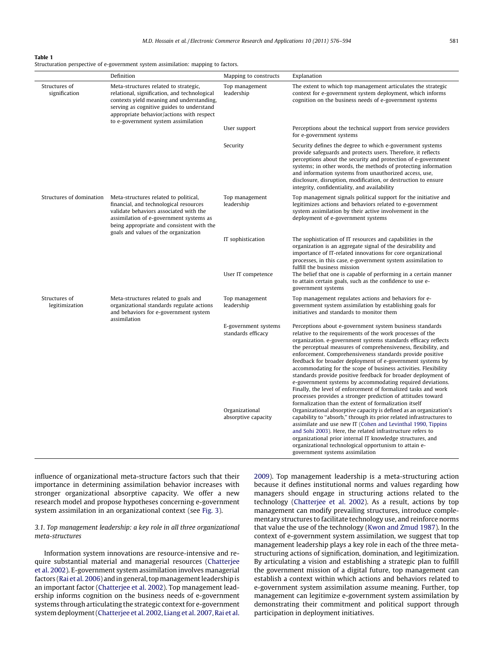|  | Structuration perspective of e-government system assimilation: mapping to factors. |  |  |
|--|------------------------------------------------------------------------------------|--|--|
|  |                                                                                    |  |  |

|                                 | Definition                                                                                                                                                                                                                                                          | Mapping to constructs                                                               | Explanation                                                                                                                                                                                                                                                                                                                                                                                                                                                                                                                                                                                                                                                                                                                                                                                                                                                                                                                                                                                     |
|---------------------------------|---------------------------------------------------------------------------------------------------------------------------------------------------------------------------------------------------------------------------------------------------------------------|-------------------------------------------------------------------------------------|-------------------------------------------------------------------------------------------------------------------------------------------------------------------------------------------------------------------------------------------------------------------------------------------------------------------------------------------------------------------------------------------------------------------------------------------------------------------------------------------------------------------------------------------------------------------------------------------------------------------------------------------------------------------------------------------------------------------------------------------------------------------------------------------------------------------------------------------------------------------------------------------------------------------------------------------------------------------------------------------------|
| Structures of<br>signification  | Meta-structures related to strategic,<br>relational, signification, and technological<br>contexts yield meaning and understanding,<br>serving as cognitive guides to understand<br>appropriate behavior/actions with respect<br>to e-government system assimilation | Top management<br>leadership                                                        | The extent to which top management articulates the strategic<br>context for e-government system deployment, which informs<br>cognition on the business needs of e-government systems                                                                                                                                                                                                                                                                                                                                                                                                                                                                                                                                                                                                                                                                                                                                                                                                            |
|                                 |                                                                                                                                                                                                                                                                     | User support                                                                        | Perceptions about the technical support from service providers<br>for e-government systems                                                                                                                                                                                                                                                                                                                                                                                                                                                                                                                                                                                                                                                                                                                                                                                                                                                                                                      |
|                                 |                                                                                                                                                                                                                                                                     | Security                                                                            | Security defines the degree to which e-government systems<br>provide safeguards and protects users. Therefore, it reflects<br>perceptions about the security and protection of e-government<br>systems; in other words, the methods of protecting information<br>and information systems from unauthorized access, use,<br>disclosure, disruption, modification, or destruction to ensure<br>integrity, confidentiality, and availability                                                                                                                                                                                                                                                                                                                                                                                                                                                                                                                                                       |
| Structures of domination        | Meta-structures related to political,<br>financial, and technological resources<br>validate behaviors associated with the<br>assimilation of e-government systems as<br>being appropriate and consistent with the<br>goals and values of the organization           | Top management<br>leadership                                                        | Top management signals political support for the initiative and<br>legitimizes actions and behaviors related to e-government<br>system assimilation by their active involvement in the<br>deployment of e-government systems                                                                                                                                                                                                                                                                                                                                                                                                                                                                                                                                                                                                                                                                                                                                                                    |
|                                 |                                                                                                                                                                                                                                                                     | IT sophistication<br>User IT competence                                             | The sophistication of IT resources and capabilities in the<br>organization is an aggregate signal of the desirability and<br>importance of IT-related innovations for core organizational<br>processes, in this case, e-government system assimilation to<br>fulfill the business mission<br>The belief that one is capable of performing in a certain manner                                                                                                                                                                                                                                                                                                                                                                                                                                                                                                                                                                                                                                   |
|                                 |                                                                                                                                                                                                                                                                     |                                                                                     | to attain certain goals, such as the confidence to use e-<br>government systems                                                                                                                                                                                                                                                                                                                                                                                                                                                                                                                                                                                                                                                                                                                                                                                                                                                                                                                 |
| Structures of<br>legitimization | Meta-structures related to goals and<br>organizational standards regulate actions<br>and behaviors for e-government system<br>assimilation                                                                                                                          | Top management<br>leadership                                                        | Top management regulates actions and behaviors for e-<br>government system assimilation by establishing goals for<br>initiatives and standards to monitor them                                                                                                                                                                                                                                                                                                                                                                                                                                                                                                                                                                                                                                                                                                                                                                                                                                  |
|                                 |                                                                                                                                                                                                                                                                     | E-government systems<br>standards efficacy<br>Organizational<br>absorptive capacity | Perceptions about e-government system business standards<br>relative to the requirements of the work processes of the<br>organization. e-government systems standards efficacy reflects<br>the perceptual measures of comprehensiveness, flexibility, and<br>enforcement. Comprehensiveness standards provide positive<br>feedback for broader deployment of e-government systems by<br>accommodating for the scope of business activities. Flexibility<br>standards provide positive feedback for broader deployment of<br>e-government systems by accommodating required deviations.<br>Finally, the level of enforcement of formalized tasks and work<br>processes provides a stronger prediction of attitudes toward<br>formalization than the extent of formalization itself<br>Organizational absorptive capacity is defined as an organization's<br>capability to "absorb," through its prior related infrastructures to<br>assimilate and use new IT (Cohen and Levinthal 1990, Tippins |
|                                 |                                                                                                                                                                                                                                                                     |                                                                                     | and Sohi 2003). Here, the related infrastructure refers to<br>organizational prior internal IT knowledge structures, and<br>organizational technological opportunism to attain e-<br>government systems assimilation                                                                                                                                                                                                                                                                                                                                                                                                                                                                                                                                                                                                                                                                                                                                                                            |

influence of organizational meta-structure factors such that their importance in determining assimilation behavior increases with stronger organizational absorptive capacity. We offer a new research model and propose hypotheses concerning e-government system assimilation in an organizational context (see Fig. 3).

# 3.1. Top management leadership: a key role in all three organizational meta-structures

Information system innovations are resource-intensive and require substantial material and managerial resources (Chatterjee et al. 2002). E-government system assimilation involves managerial factors (Rai et al. 2006) and in general, topmanagement leadership is an important factor (Chatterjee et al. 2002). Top management leadership informs cognition on the business needs of e-government systems through articulating the strategic context for e-government system deployment (Chatterjee et al. 2002, Liang et al. 2007, Rai et al. 2009). Top management leadership is a meta-structuring action because it defines institutional norms and values regarding how managers should engage in structuring actions related to the technology (Chatterjee et al. 2002). As a result, actions by top management can modify prevailing structures, introduce complementary structures to facilitate technology use, and reinforce norms that value the use of the technology (Kwon and Zmud 1987). In the context of e-government system assimilation, we suggest that top management leadership plays a key role in each of the three metastructuring actions of signification, domination, and legitimization. By articulating a vision and establishing a strategic plan to fulfill the government mission of a digital future, top management can establish a context within which actions and behaviors related to e-government system assimilation assume meaning. Further, top management can legitimize e-government system assimilation by demonstrating their commitment and political support through participation in deployment initiatives.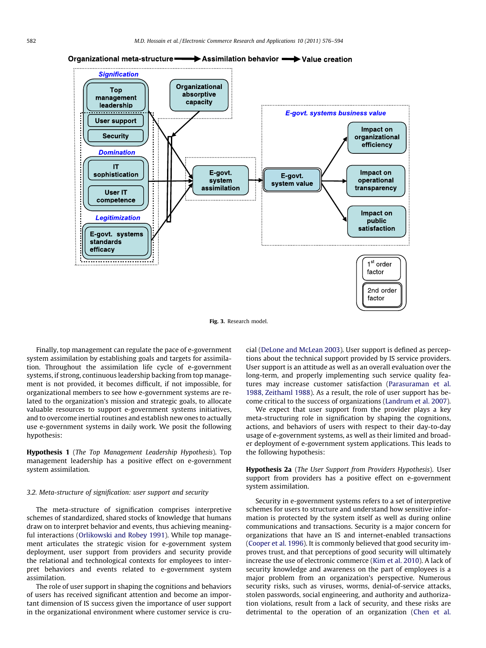

# Organizational meta-structure **>>>>>>>>>>>>>>>>>>>>>>>>**Value creation

Fig. 3. Research model.

Finally, top management can regulate the pace of e-government system assimilation by establishing goals and targets for assimilation. Throughout the assimilation life cycle of e-government systems, if strong, continuous leadership backing from top management is not provided, it becomes difficult, if not impossible, for organizational members to see how e-government systems are related to the organization's mission and strategic goals, to allocate valuable resources to support e-government systems initiatives, and to overcome inertial routines and establish new ones to actually use e-government systems in daily work. We posit the following hypothesis:

Hypothesis 1 (The Top Management Leadership Hypothesis). Top management leadership has a positive effect on e-government system assimilation.

# 3.2. Meta-structure of signification: user support and security

The meta-structure of signification comprises interpretive schemes of standardized, shared stocks of knowledge that humans draw on to interpret behavior and events, thus achieving meaningful interactions (Orlikowski and Robey 1991). While top management articulates the strategic vision for e-government system deployment, user support from providers and security provide the relational and technological contexts for employees to interpret behaviors and events related to e-government system assimilation.

The role of user support in shaping the cognitions and behaviors of users has received significant attention and become an important dimension of IS success given the importance of user support in the organizational environment where customer service is crucial (DeLone and McLean 2003). User support is defined as perceptions about the technical support provided by IS service providers. User support is an attitude as well as an overall evaluation over the long-term, and properly implementing such service quality features may increase customer satisfaction (Parasuraman et al. 1988, Zeithaml 1988). As a result, the role of user support has become critical to the success of organizations (Landrum et al. 2007).

We expect that user support from the provider plays a key meta-structuring role in signification by shaping the cognitions, actions, and behaviors of users with respect to their day-to-day usage of e-government systems, as well as their limited and broader deployment of e-government system applications. This leads to the following hypothesis:

Hypothesis 2a (The User Support from Providers Hypothesis). User support from providers has a positive effect on e-government system assimilation.

Security in e-government systems refers to a set of interpretive schemes for users to structure and understand how sensitive information is protected by the system itself as well as during online communications and transactions. Security is a major concern for organizations that have an IS and internet-enabled transactions (Cooper et al. 1996). It is commonly believed that good security improves trust, and that perceptions of good security will ultimately increase the use of electronic commerce (Kim et al. 2010). A lack of security knowledge and awareness on the part of employees is a major problem from an organization's perspective. Numerous security risks, such as viruses, worms, denial-of-service attacks, stolen passwords, social engineering, and authority and authorization violations, result from a lack of security, and these risks are detrimental to the operation of an organization (Chen et al.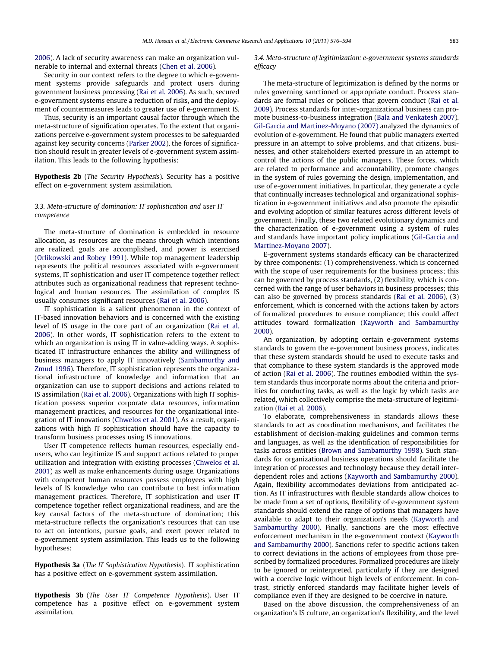2006). A lack of security awareness can make an organization vulnerable to internal and external threats (Chen et al. 2006).

Security in our context refers to the degree to which e-government systems provide safeguards and protect users during government business processing (Rai et al. 2006). As such, secured e-government systems ensure a reduction of risks, and the deployment of countermeasures leads to greater use of e-government IS.

Thus, security is an important causal factor through which the meta-structure of signification operates. To the extent that organizations perceive e-government system processes to be safeguarded against key security concerns (Parker 2002), the forces of signification should result in greater levels of e-government system assimilation. This leads to the following hypothesis:

Hypothesis 2b (The Security Hypothesis). Security has a positive effect on e-government system assimilation.

# 3.3. Meta-structure of domination: IT sophistication and user IT competence

The meta-structure of domination is embedded in resource allocation, as resources are the means through which intentions are realized, goals are accomplished, and power is exercised (Orlikowski and Robey 1991). While top management leadership represents the political resources associated with e-government systems, IT sophistication and user IT competence together reflect attributes such as organizational readiness that represent technological and human resources. The assimilation of complex IS usually consumes significant resources (Rai et al. 2006).

IT sophistication is a salient phenomenon in the context of IT-based innovation behaviors and is concerned with the existing level of IS usage in the core part of an organization (Rai et al. 2006). In other words, IT sophistication refers to the extent to which an organization is using IT in value-adding ways. A sophisticated IT infrastructure enhances the ability and willingness of business managers to apply IT innovatively (Sambamurthy and Zmud 1996). Therefore, IT sophistication represents the organizational infrastructure of knowledge and information that an organization can use to support decisions and actions related to IS assimilation (Rai et al. 2006). Organizations with high IT sophistication possess superior corporate data resources, information management practices, and resources for the organizational integration of IT innovations (Chwelos et al. 2001). As a result, organizations with high IT sophistication should have the capacity to transform business processes using IS innovations.

User IT competence reflects human resources, especially endusers, who can legitimize IS and support actions related to proper utilization and integration with existing processes (Chwelos et al. 2001) as well as make enhancements during usage. Organizations with competent human resources possess employees with high levels of IS knowledge who can contribute to best information management practices. Therefore, IT sophistication and user IT competence together reflect organizational readiness, and are the key causal factors of the meta-structure of domination; this meta-structure reflects the organization's resources that can use to act on intentions, pursue goals, and exert power related to e-government system assimilation. This leads us to the following hypotheses:

Hypothesis 3a (The IT Sophistication Hypothesis). IT sophistication has a positive effect on e-government system assimilation.

Hypothesis 3b (The User IT Competence Hypothesis). User IT competence has a positive effect on e-government system assimilation.

3.4. Meta-structure of legitimization: e-government systems standards efficacy

The meta-structure of legitimization is defined by the norms or rules governing sanctioned or appropriate conduct. Process standards are formal rules or policies that govern conduct (Rai et al. 2009). Process standards for inter-organizational business can promote business-to-business integration (Bala and Venkatesh 2007). Gil-Garcia and Martinez-Moyano (2007) analyzed the dynamics of evolution of e-government. He found that public managers exerted pressure in an attempt to solve problems, and that citizens, businesses, and other stakeholders exerted pressure in an attempt to control the actions of the public managers. These forces, which are related to performance and accountability, promote changes in the system of rules governing the design, implementation, and use of e-government initiatives. In particular, they generate a cycle that continually increases technological and organizational sophistication in e-government initiatives and also promote the episodic and evolving adoption of similar features across different levels of government. Finally, these two related evolutionary dynamics and the characterization of e-government using a system of rules and standards have important policy implications (Gil-Garcia and Martinez-Moyano 2007).

E-government systems standards efficacy can be characterized by three components: (1) comprehensiveness, which is concerned with the scope of user requirements for the business process; this can be governed by process standards, (2) flexibility, which is concerned with the range of user behaviors in business processes; this can also be governed by process standards (Rai et al. 2006), (3) enforcement, which is concerned with the actions taken by actors of formalized procedures to ensure compliance; this could affect attitudes toward formalization (Kayworth and Sambamurthy 2000).

An organization, by adopting certain e-government systems standards to govern the e-government business process, indicates that these system standards should be used to execute tasks and that compliance to these system standards is the approved mode of action (Rai et al. 2006). The routines embodied within the system standards thus incorporate norms about the criteria and priorities for conducting tasks, as well as the logic by which tasks are related, which collectively comprise the meta-structure of legitimization (Rai et al. 2006).

To elaborate, comprehensiveness in standards allows these standards to act as coordination mechanisms, and facilitates the establishment of decision-making guidelines and common terms and languages, as well as the identification of responsibilities for tasks across entities (Brown and Sambamurthy 1998). Such standards for organizational business operations should facilitate the integration of processes and technology because they detail interdependent roles and actions (Kayworth and Sambamurthy 2000). Again, flexibility accommodates deviations from anticipated action. As IT infrastructures with flexible standards allow choices to be made from a set of options, flexibility of e-government system standards should extend the range of options that managers have available to adapt to their organization's needs (Kayworth and Sambamurthy 2000). Finally, sanctions are the most effective enforcement mechanism in the e-government context (Kayworth and Sambamurthy 2000). Sanctions refer to specific actions taken to correct deviations in the actions of employees from those prescribed by formalized procedures. Formalized procedures are likely to be ignored or reinterpreted, particularly if they are designed with a coercive logic without high levels of enforcement. In contrast, strictly enforced standards may facilitate higher levels of compliance even if they are designed to be coercive in nature.

Based on the above discussion, the comprehensiveness of an organization's IS culture, an organization's flexibility, and the level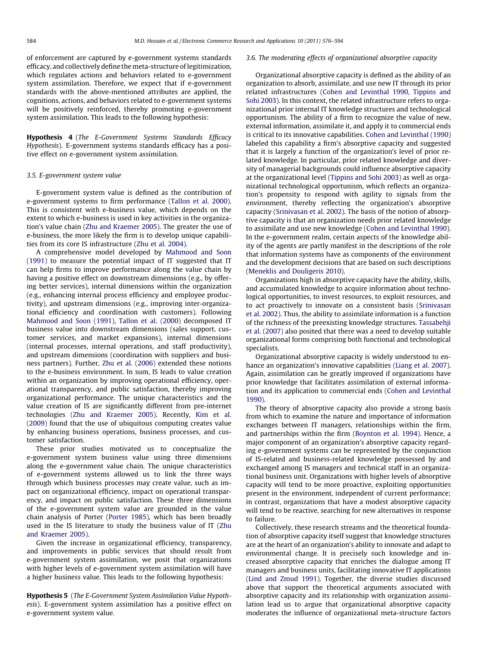of enforcement are captured by e-government systems standards efficacy, and collectively define the meta-structure of legitimization, which regulates actions and behaviors related to e-government system assimilation. Therefore, we expect that if e-government standards with the above-mentioned attributes are applied, the cognitions, actions, and behaviors related to e-government systems will be positively reinforced, thereby promoting e-government system assimilation. This leads to the following hypothesis:

Hypothesis 4 (The E-Government Systems Standards Efficacy Hypothesis). E-government systems standards efficacy has a positive effect on e-government system assimilation.

### 3.5. E-government system value

E-government system value is defined as the contribution of e-government systems to firm performance (Tallon et al. 2000). This is consistent with e-business value, which depends on the extent to which e-business is used in key activities in the organization's value chain (Zhu and Kraemer 2005). The greater the use of e-business, the more likely the firm is to develop unique capabilities from its core IS infrastructure (Zhu et al. 2004).

A comprehensive model developed by Mahmood and Soon (1991) to measure the potential impact of IT suggested that IT can help firms to improve performance along the value chain by having a positive effect on downstream dimensions (e.g., by offering better services), internal dimensions within the organization (e.g., enhancing internal process efficiency and employee productivity), and upstream dimensions (e.g., improving inter-organizational efficiency and coordination with customers). Following Mahmood and Soon (1991), Tallon et al. (2000) decomposed IT business value into downstream dimensions (sales support, customer services, and market expansions), internal dimensions (internal processes, internal operations, and staff productivity), and upstream dimensions (coordination with suppliers and business partners). Further, Zhu et al. (2006) extended these notions to the e-business environment. In sum, IS leads to value creation within an organization by improving operational efficiency, operational transparency, and public satisfaction, thereby improving organizational performance. The unique characteristics and the value creation of IS are significantly different from pre-internet technologies (Zhu and Kraemer 2005). Recently, Kim et al. (2009) found that the use of ubiquitous computing creates value by enhancing business operations, business processes, and customer satisfaction.

These prior studies motivated us to conceptualize the e-government system business value using three dimensions along the e-government value chain. The unique characteristics of e-government systems allowed us to link the three ways through which business processes may create value, such as impact on organizational efficiency, impact on operational transparency, and impact on public satisfaction. These three dimensions of the e-government system value are grounded in the value chain analysis of Porter (Porter 1985), which has been broadly used in the IS literature to study the business value of IT (Zhu and Kraemer 2005).

Given the increase in organizational efficiency, transparency, and improvements in public services that should result from e-government system assimilation, we posit that organizations with higher levels of e-government system assimilation will have a higher business value. This leads to the following hypothesis:

Hypothesis 5 (The E-Government System Assimilation Value Hypothesis). E-government system assimilation has a positive effect on e-government system value.

### 3.6. The moderating effects of organizational absorptive capacity

Organizational absorptive capacity is defined as the ability of an organization to absorb, assimilate, and use new IT through its prior related infrastructures (Cohen and Levinthal 1990, Tippins and Sohi 2003). In this context, the related infrastructure refers to organizational prior internal IT knowledge structures and technological opportunism. The ability of a firm to recognize the value of new, external information, assimilate it, and apply it to commercial ends is critical to its innovative capabilities. Cohen and Levinthal (1990) labeled this capability a firm's absorptive capacity and suggested that it is largely a function of the organization's level of prior related knowledge. In particular, prior related knowledge and diversity of managerial backgrounds could influence absorptive capacity at the organizational level (Tippins and Sohi 2003) as well as organizational technological opportunism, which reflects an organization's propensity to respond with agility to signals from the environment, thereby reflecting the organization's absorptive capacity (Srinivasan et al. 2002). The basis of the notion of absorptive capacity is that an organization needs prior related knowledge to assimilate and use new knowledge (Cohen and Levinthal 1990). In the e-government realm, certain aspects of the knowledge ability of the agents are partly manifest in the descriptions of the role that information systems have as components of the environment and the development decisions that are based on such descriptions (Meneklis and Douligeris 2010).

Organizations high in absorptive capacity have the ability, skills, and accumulated knowledge to acquire information about technological opportunities, to invest resources, to exploit resources, and to act proactively to innovate on a consistent basis (Srinivasan et al. 2002). Thus, the ability to assimilate information is a function of the richness of the preexisting knowledge structures. Tassabehji et al. (2007) also posited that there was a need to develop suitable organizational forms comprising both functional and technological specialists.

Organizational absorptive capacity is widely understood to enhance an organization's innovative capabilities (Liang et al. 2007). Again, assimilation can be greatly improved if organizations have prior knowledge that facilitates assimilation of external information and its application to commercial ends (Cohen and Levinthal 1990).

The theory of absorptive capacity also provide a strong basis from which to examine the nature and importance of information exchanges between IT managers, relationships within the firm, and partnerships within the firm (Boynton et al. 1994). Hence, a major component of an organization's absorptive capacity regarding e-government systems can be represented by the conjunction of IS-related and business-related knowledge possessed by and exchanged among IS managers and technical staff in an organizational business unit. Organizations with higher levels of absorptive capacity will tend to be more proactive, exploiting opportunities present in the environment, independent of current performance; in contrast, organizations that have a modest absorptive capacity will tend to be reactive, searching for new alternatives in response to failure.

Collectively, these research streams and the theoretical foundation of absorptive capacity itself suggest that knowledge structures are at the heart of an organization's ability to innovate and adapt to environmental change. It is precisely such knowledge and increased absorptive capacity that enriches the dialogue among IT managers and business units, facilitating innovative IT applications (Lind and Zmud 1991). Together, the diverse studies discussed above that support the theoretical arguments associated with absorptive capacity and its relationship with organization assimilation lead us to argue that organizational absorptive capacity moderates the influence of organizational meta-structure factors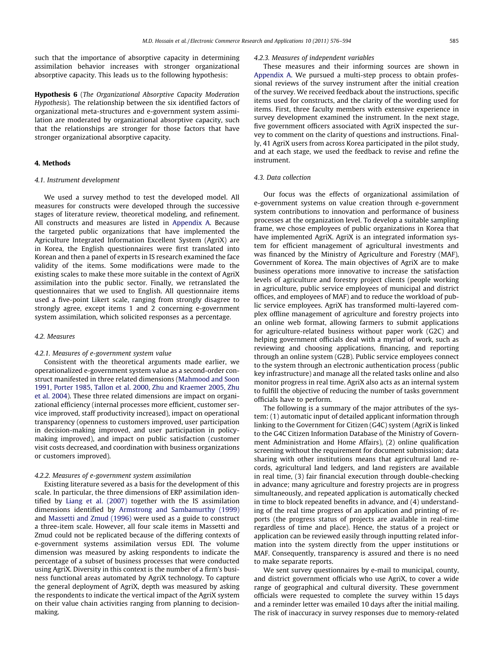such that the importance of absorptive capacity in determining assimilation behavior increases with stronger organizational absorptive capacity. This leads us to the following hypothesis:

Hypothesis 6 (The Organizational Absorptive Capacity Moderation Hypothesis). The relationship between the six identified factors of organizational meta-structures and e-government system assimilation are moderated by organizational absorptive capacity, such that the relationships are stronger for those factors that have stronger organizational absorptive capacity.

# 4. Methods

### 4.1. Instrument development

We used a survey method to test the developed model. All measures for constructs were developed through the successive stages of literature review, theoretical modeling, and refinement. All constructs and measures are listed in Appendix A. Because the targeted public organizations that have implemented the Agriculture Integrated Information Excellent System (AgriX) are in Korea, the English questionnaires were first translated into Korean and then a panel of experts in IS research examined the face validity of the items. Some modifications were made to the existing scales to make these more suitable in the context of AgriX assimilation into the public sector. Finally, we retranslated the questionnaires that we used to English. All questionnaire items used a five-point Likert scale, ranging from strongly disagree to strongly agree, except items 1 and 2 concerning e-government system assimilation, which solicited responses as a percentage.

# 4.2. Measures

# 4.2.1. Measures of e-government system value

Consistent with the theoretical arguments made earlier, we operationalized e-government system value as a second-order construct manifested in three related dimensions (Mahmood and Soon 1991, Porter 1985, Tallon et al. 2000, Zhu and Kraemer 2005, Zhu et al. 2004). These three related dimensions are impact on organizational efficiency (internal processes more efficient, customer service improved, staff productivity increased), impact on operational transparency (openness to customers improved, user participation in decision-making improved, and user participation in policymaking improved), and impact on public satisfaction (customer visit costs decreased, and coordination with business organizations or customers improved).

### 4.2.2. Measures of e-government system assimilation

Existing literature severed as a basis for the development of this scale. In particular, the three dimensions of ERP assimilation identified by Liang et al. (2007) together with the IS assimilation dimensions identified by Armstrong and Sambamurthy (1999) and Massetti and Zmud (1996) were used as a guide to construct a three-item scale. However, all four scale items in Massetti and Zmud could not be replicated because of the differing contexts of e-government systems assimilation versus EDI. The volume dimension was measured by asking respondents to indicate the percentage of a subset of business processes that were conducted using AgriX. Diversity in this context is the number of a firm's business functional areas automated by AgriX technology. To capture the general deployment of AgriX, depth was measured by asking the respondents to indicate the vertical impact of the AgriX system on their value chain activities ranging from planning to decisionmaking.

### 4.2.3. Measures of independent variables

These measures and their informing sources are shown in Appendix A. We pursued a multi-step process to obtain professional reviews of the survey instrument after the initial creation of the survey. We received feedback about the instructions, specific items used for constructs, and the clarity of the wording used for items. First, three faculty members with extensive experience in survey development examined the instrument. In the next stage, five government officers associated with AgriX inspected the survey to comment on the clarity of questions and instructions. Finally, 41 AgriX users from across Korea participated in the pilot study, and at each stage, we used the feedback to revise and refine the instrument.

# 4.3. Data collection

Our focus was the effects of organizational assimilation of e-government systems on value creation through e-government system contributions to innovation and performance of business processes at the organization level. To develop a suitable sampling frame, we chose employees of public organizations in Korea that have implemented AgriX. AgriX is an integrated information system for efficient management of agricultural investments and was financed by the Ministry of Agriculture and Forestry (MAF), Government of Korea. The main objectives of AgriX are to make business operations more innovative to increase the satisfaction levels of agriculture and forestry project clients (people working in agriculture, public service employees of municipal and district offices, and employees of MAF) and to reduce the workload of public service employees. AgriX has transformed multi-layered complex offline management of agriculture and forestry projects into an online web format, allowing farmers to submit applications for agriculture-related business without paper work (G2C) and helping government officials deal with a myriad of work, such as reviewing and choosing applications, financing, and reporting through an online system (G2B). Public service employees connect to the system through an electronic authentication process (public key infrastructure) and manage all the related tasks online and also monitor progress in real time. AgriX also acts as an internal system to fulfill the objective of reducing the number of tasks government officials have to perform.

The following is a summary of the major attributes of the system: (1) automatic input of detailed applicant information through linking to the Government for Citizen (G4C) system (AgriX is linked to the G4C Citizen Information Database of the Ministry of Government Administration and Home Affairs), (2) online qualification screening without the requirement for document submission; data sharing with other institutions means that agricultural land records, agricultural land ledgers, and land registers are available in real time, (3) fair financial execution through double-checking in advance; many agriculture and forestry projects are in progress simultaneously, and repeated application is automatically checked in time to block repeated benefits in advance, and (4) understanding of the real time progress of an application and printing of reports (the progress status of projects are available in real-time regardless of time and place). Hence, the status of a project or application can be reviewed easily through inputting related information into the system directly from the upper institutions or MAF. Consequently, transparency is assured and there is no need to make separate reports.

We sent survey questionnaires by e-mail to municipal, county, and district government officials who use AgriX, to cover a wide range of geographical and cultural diversity. These government officials were requested to complete the survey within 15 days and a reminder letter was emailed 10 days after the initial mailing. The risk of inaccuracy in survey responses due to memory-related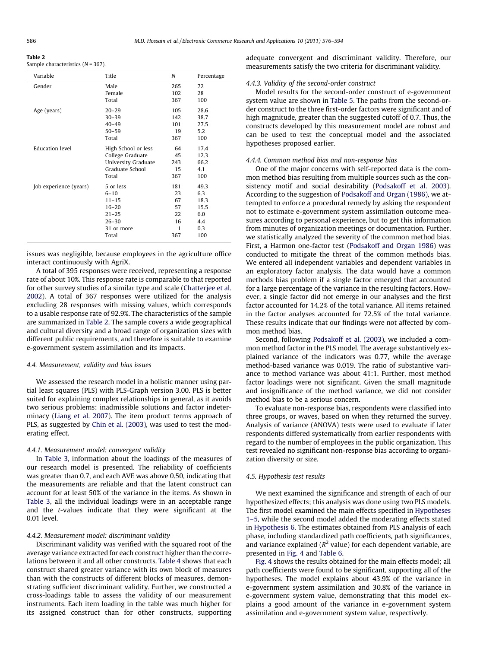Sample characteristics  $(N = 367)$ .

| Variable               | Title               | N            | Percentage |
|------------------------|---------------------|--------------|------------|
| Gender                 | Male                | 265          | 72         |
|                        | Female              | 102          | 28         |
|                        | Total               | 367          | 100        |
| Age (years)            | $20 - 29$           | 105          | 28.6       |
|                        | $30 - 39$           | 142          | 38.7       |
|                        | $40 - 49$           | 101          | 27.5       |
|                        | $50 - 59$           | 19           | 5.2        |
|                        | Total               | 367          | 100        |
| <b>Education level</b> | High School or less | 64           | 17.4       |
|                        | College Graduate    | 45           | 12.3       |
|                        | University Graduate | 243          | 66.2       |
|                        | Graduate School     | 15           | 4.1        |
|                        | Total               | 367          | 100        |
| Job experience (years) | 5 or less           | 181          | 49.3       |
|                        | $6 - 10$            | 23           | 6.3        |
|                        | $11 - 15$           | 67           | 18.3       |
|                        | $16 - 20$           | 57           | 15.5       |
|                        | $21 - 25$           | 22           | 6.0        |
|                        | $26 - 30$           | 16           | 4.4        |
|                        | 31 or more          | $\mathbf{1}$ | 0.3        |
|                        | Total               | 367          | 100        |
|                        |                     |              |            |

issues was negligible, because employees in the agriculture office interact continuously with AgriX.

A total of 395 responses were received, representing a response rate of about 10%. This response rate is comparable to that reported for other survey studies of a similar type and scale (Chatterjee et al. 2002). A total of 367 responses were utilized for the analysis excluding 28 responses with missing values, which corresponds to a usable response rate of 92.9%. The characteristics of the sample are summarized in Table 2. The sample covers a wide geographical and cultural diversity and a broad range of organization sizes with different public requirements, and therefore is suitable to examine e-government system assimilation and its impacts.

# 4.4. Measurement, validity and bias issues

We assessed the research model in a holistic manner using partial least squares (PLS) with PLS-Graph version 3.00. PLS is better suited for explaining complex relationships in general, as it avoids two serious problems: inadmissible solutions and factor indeterminacy (Liang et al. 2007). The item product terms approach of PLS, as suggested by Chin et al. (2003), was used to test the moderating effect.

### 4.4.1. Measurement model: convergent validity

In Table 3, information about the loadings of the measures of our research model is presented. The reliability of coefficients was greater than 0.7, and each AVE was above 0.50, indicating that the measurements are reliable and that the latent construct can account for at least 50% of the variance in the items. As shown in Table 3, all the individual loadings were in an acceptable range and the t-values indicate that they were significant at the 0.01 level.

### 4.4.2. Measurement model: discriminant validity

Discriminant validity was verified with the squared root of the average variance extracted for each construct higher than the correlations between it and all other constructs. Table 4 shows that each construct shared greater variance with its own block of measures than with the constructs of different blocks of measures, demonstrating sufficient discriminant validity. Further, we constructed a cross-loadings table to assess the validity of our measurement instruments. Each item loading in the table was much higher for its assigned construct than for other constructs, supporting adequate convergent and discriminant validity. Therefore, our measurements satisfy the two criteria for discriminant validity.

# 4.4.3. Validity of the second-order construct

Model results for the second-order construct of e-government system value are shown in Table 5. The paths from the second-order construct to the three first-order factors were significant and of high magnitude, greater than the suggested cutoff of 0.7. Thus, the constructs developed by this measurement model are robust and can be used to test the conceptual model and the associated hypotheses proposed earlier.

# 4.4.4. Common method bias and non-response bias

One of the major concerns with self-reported data is the common method bias resulting from multiple sources such as the consistency motif and social desirability (Podsakoff et al. 2003). According to the suggestion of Podsakoff and Organ (1986), we attempted to enforce a procedural remedy by asking the respondent not to estimate e-government system assimilation outcome measures according to personal experience, but to get this information from minutes of organization meetings or documentation. Further, we statistically analyzed the severity of the common method bias. First, a Harmon one-factor test (Podsakoff and Organ 1986) was conducted to mitigate the threat of the common methods bias. We entered all independent variables and dependent variables in an exploratory factor analysis. The data would have a common methods bias problem if a single factor emerged that accounted for a large percentage of the variance in the resulting factors. However, a single factor did not emerge in our analyses and the first factor accounted for 14.2% of the total variance. All items retained in the factor analyses accounted for 72.5% of the total variance. These results indicate that our findings were not affected by common method bias.

Second, following Podsakoff et al. (2003), we included a common method factor in the PLS model. The average substantively explained variance of the indicators was 0.77, while the average method-based variance was 0.019. The ratio of substantive variance to method variance was about 41:1. Further, most method factor loadings were not significant. Given the small magnitude and insignificance of the method variance, we did not consider method bias to be a serious concern.

To evaluate non-response bias, respondents were classified into three groups, or waves, based on when they returned the survey. Analysis of variance (ANOVA) tests were used to evaluate if later respondents differed systematically from earlier respondents with regard to the number of employees in the public organization. This test revealed no significant non-response bias according to organization diversity or size.

# 4.5. Hypothesis test results

We next examined the significance and strength of each of our hypothesized effects; this analysis was done using two PLS models. The first model examined the main effects specified in Hypotheses 1–5, while the second model added the moderating effects stated in Hypothesis 6. The estimates obtained from PLS analysis of each phase, including standardized path coefficients, path significances, and variance explained ( $R^2$  value) for each dependent variable, are presented in Fig. 4 and Table 6.

Fig. 4 shows the results obtained for the main effects model; all path coefficients were found to be significant, supporting all of the hypotheses. The model explains about 43.9% of the variance in e-government system assimilation and 30.8% of the variance in e-government system value, demonstrating that this model explains a good amount of the variance in e-government system assimilation and e-government system value, respectively.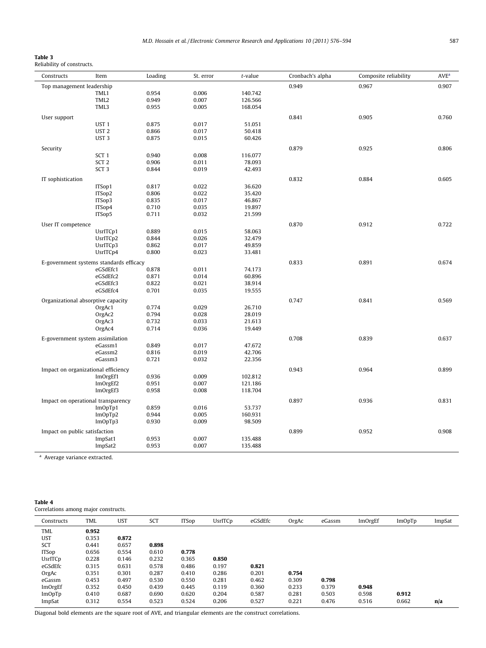Reliability of constructs.

| Constructs                    | Item                                        | Loading        | St. error | t-value | Cronbach's alpha | Composite reliability | AVE <sup>a</sup> |
|-------------------------------|---------------------------------------------|----------------|-----------|---------|------------------|-----------------------|------------------|
| Top management leadership     |                                             |                |           |         | 0.949            | 0.967                 | 0.907            |
|                               | TML1                                        | 0.954          | 0.006     | 140.742 |                  |                       |                  |
|                               | TML2                                        | 0.949          | 0.007     | 126.566 |                  |                       |                  |
|                               | TML3                                        | 0.955          | 0.005     | 168.054 |                  |                       |                  |
| User support                  |                                             |                |           |         | 0.841            | 0.905                 | 0.760            |
|                               | UST <sub>1</sub>                            | 0.875          | 0.017     | 51.051  |                  |                       |                  |
|                               | UST <sub>2</sub>                            | 0.866          | 0.017     | 50.418  |                  |                       |                  |
|                               | UST <sub>3</sub>                            | 0.875          | 0.015     | 60.426  |                  |                       |                  |
|                               |                                             |                |           |         |                  |                       |                  |
| Security                      |                                             |                |           |         | 0.879            | 0.925                 | 0.806            |
|                               | SCT <sub>1</sub>                            | 0.940          | 0.008     | 116.077 |                  |                       |                  |
|                               | SCT <sub>2</sub>                            | 0.906          | 0.011     | 78.093  |                  |                       |                  |
|                               | SCT <sub>3</sub>                            | 0.844          | 0.019     | 42.493  |                  |                       |                  |
| IT sophistication             |                                             |                |           |         | 0.832            | 0.884                 | 0.605            |
|                               | ITSop1                                      | 0.817          | 0.022     | 36.620  |                  |                       |                  |
|                               | ITSop2                                      | 0.806          | 0.022     | 35.420  |                  |                       |                  |
|                               | ITSop3                                      | 0.835          | 0.017     | 46.867  |                  |                       |                  |
|                               | ITSop4                                      | 0.710          | 0.035     | 19.897  |                  |                       |                  |
|                               | ITSop5                                      | 0.711          | 0.032     | 21.599  |                  |                       |                  |
|                               |                                             |                |           |         | 0.870            | 0.912                 | 0.722            |
| User IT competence            | UsrITCp1                                    | 0.889          | 0.015     | 58.063  |                  |                       |                  |
|                               | UsrITCp2                                    | 0.844          | 0.026     | 32.479  |                  |                       |                  |
|                               | UsrITCp3                                    | 0.862          | 0.017     | 49.859  |                  |                       |                  |
|                               |                                             | 0.800          | 0.023     | 33.481  |                  |                       |                  |
|                               | UsrITCp4                                    |                |           |         |                  |                       |                  |
|                               | E-government systems standards efficacy     |                |           |         | 0.833            | 0.891                 | 0.674            |
|                               | eGSdEfc1                                    | 0.878          | 0.011     | 74.173  |                  |                       |                  |
|                               | eGSdEfc2                                    | 0.871          | 0.014     | 60.896  |                  |                       |                  |
|                               | eGSdEfc3                                    | 0.822          | 0.021     | 38.914  |                  |                       |                  |
|                               | eGSdEfc4                                    | 0.701          | 0.035     | 19.555  |                  |                       |                  |
|                               | Organizational absorptive capacity          |                |           |         | 0.747            | 0.841                 | 0.569            |
|                               | OrgAc1                                      | 0.774          | 0.029     | 26.710  |                  |                       |                  |
|                               | OrgAc2                                      | 0.794          | 0.028     | 28.019  |                  |                       |                  |
|                               | OrgAc3                                      | 0.732          | 0.033     | 21.613  |                  |                       |                  |
|                               | OrgAc4                                      | 0.714          | 0.036     | 19.449  |                  |                       |                  |
|                               |                                             |                |           |         | 0.708            | 0.839                 | 0.637            |
|                               | E-government system assimilation<br>eGassm1 | 0.849          | 0.017     | 47.672  |                  |                       |                  |
|                               | eGassm2                                     |                | 0.019     | 42.706  |                  |                       |                  |
|                               | eGassm3                                     | 0.816<br>0.721 | 0.032     | 22.356  |                  |                       |                  |
|                               |                                             |                |           |         |                  |                       |                  |
|                               | Impact on organizational efficiency         |                |           |         | 0.943            | 0.964                 | 0.899            |
|                               | ImOrgEf1                                    | 0.936          | 0.009     | 102.812 |                  |                       |                  |
|                               | ImOrgEf2                                    | 0.951          | 0.007     | 121.186 |                  |                       |                  |
|                               | ImOrgEf3                                    | 0.958          | 0.008     | 118.704 |                  |                       |                  |
|                               | Impact on operational transparency          |                |           |         | 0.897            | 0.936                 | 0.831            |
|                               | ImOpTp1                                     | 0.859          | 0.016     | 53.737  |                  |                       |                  |
|                               | ImOpTp2                                     | 0.944          | 0.005     | 160.931 |                  |                       |                  |
|                               | ImOpTp3                                     | 0.930          | 0.009     | 98.509  |                  |                       |                  |
|                               |                                             |                |           |         |                  |                       |                  |
| Impact on public satisfaction |                                             |                |           |         | 0.899            | 0.952                 | 0.908            |
|                               | ImpSat1                                     | 0.953          | 0.007     | 135.488 |                  |                       |                  |
|                               | ImpSat2                                     | 0.953          | 0.007     | 135.488 |                  |                       |                  |

| Table 4                              |  |
|--------------------------------------|--|
| Correlations among major constructs. |  |

| Constructs    | TML   | <b>UST</b> | SCT   | <b>ITSop</b> | UsrITCp | eGSdEfc | OrgAc | eGassm | ImOrgEf | <b>ImOpTp</b> | ImpSat |
|---------------|-------|------------|-------|--------------|---------|---------|-------|--------|---------|---------------|--------|
| TML           | 0.952 |            |       |              |         |         |       |        |         |               |        |
| <b>UST</b>    | 0.353 | 0.872      |       |              |         |         |       |        |         |               |        |
| SCT           | 0.441 | 0.657      | 0.898 |              |         |         |       |        |         |               |        |
| <b>ITSop</b>  | 0.656 | 0.554      | 0.610 | 0.778        |         |         |       |        |         |               |        |
| UsrITCp       | 0.228 | 0.146      | 0.232 | 0.365        | 0.850   |         |       |        |         |               |        |
| eGSdEfc       | 0.315 | 0.631      | 0.578 | 0.486        | 0.197   | 0.821   |       |        |         |               |        |
| OrgAc         | 0.351 | 0.301      | 0.287 | 0.410        | 0.286   | 0.201   | 0.754 |        |         |               |        |
| eGassm        | 0.453 | 0.497      | 0.530 | 0.550        | 0.281   | 0.462   | 0.309 | 0.798  |         |               |        |
| ImOrgEf       | 0.352 | 0.450      | 0.439 | 0.445        | 0.119   | 0.360   | 0.233 | 0.379  | 0.948   |               |        |
| <b>ImOpTp</b> | 0.410 | 0.687      | 0.690 | 0.620        | 0.204   | 0.587   | 0.281 | 0.503  | 0.598   | 0.912         |        |
| ImpSat        | 0.312 | 0.554      | 0.523 | 0.524        | 0.206   | 0.527   | 0.221 | 0.476  | 0.516   | 0.662         | n/a    |

Diagonal bold elements are the square root of AVE, and triangular elements are the construct correlations.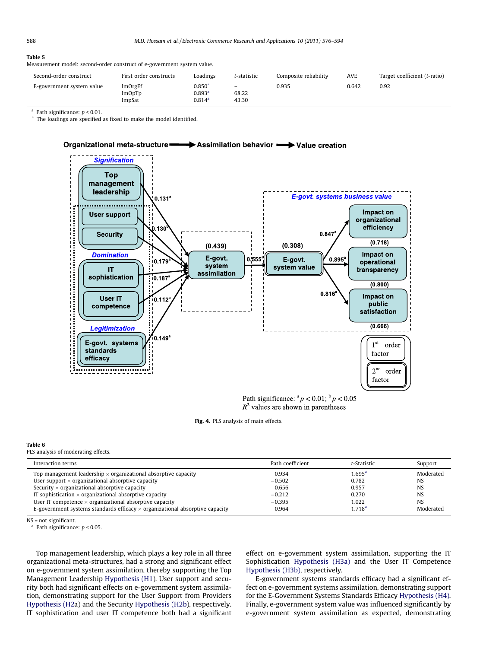Measurement model: second-order construct of e-government system value.

| Second-order construct    | First order constructs             | Loadings                                          | t-statistic                                    | Composite reliability | AVE   | Target coefficient (t-ratio) |
|---------------------------|------------------------------------|---------------------------------------------------|------------------------------------------------|-----------------------|-------|------------------------------|
| E-government system value | ImOrgEf<br><b>ImOpTp</b><br>ImpSat | 0.850<br>0.893 <sup>a</sup><br>0.814 <sup>a</sup> | $\qquad \qquad \blacksquare$<br>68.22<br>43.30 | 0.935                 | 0.642 | 0.92                         |

<sup>a</sup> Path significance:  $p < 0.01$ .

The loadings are specified as fixed to make the model identified.



Path significance:  $^{a}p < 0.01$ ;  $^{b}p < 0.05$  $R^2$  values are shown in parentheses

# Fig. 4. PLS analysis of main effects.

# Table 6

PLS analysis of moderating effects.

| Interaction terms                                                                   | Path coefficient | t-Statistic        | Support   |
|-------------------------------------------------------------------------------------|------------------|--------------------|-----------|
| Top management leadership $\times$ organizational absorptive capacity               | 0.934            | $1.695^{\rm a}$    | Moderated |
| User support $\times$ organizational absorptive capacity                            | $-0.502$         | 0.782              | <b>NS</b> |
| Security $\times$ organizational absorptive capacity                                | 0.656            | 0.957              | <b>NS</b> |
| IT sophistication $\times$ organizational absorptive capacity                       | $-0.212$         | 0.270              | <b>NS</b> |
| User IT competence $\times$ organizational absorptive capacity                      | $-0.395$         | 1.022              | <b>NS</b> |
| E-government systems standards efficacy $\times$ organizational absorptive capacity | 0.964            | 1.718 <sup>a</sup> | Moderated |

NS = not significant.

<sup>a</sup> Path significance:  $p < 0.05$ .

Top management leadership, which plays a key role in all three organizational meta-structures, had a strong and significant effect on e-government system assimilation, thereby supporting the Top Management Leadership Hypothesis (H1). User support and security both had significant effects on e-government system assimilation, demonstrating support for the User Support from Providers Hypothesis (H2a) and the Security Hypothesis (H2b), respectively. IT sophistication and user IT competence both had a significant effect on e-government system assimilation, supporting the IT Sophistication Hypothesis (H3a) and the User IT Competence Hypothesis (H3b), respectively.

E-government systems standards efficacy had a significant effect on e-government systems assimilation, demonstrating support for the E-Government Systems Standards Efficacy Hypothesis (H4). Finally, e-government system value was influenced significantly by e-government system assimilation as expected, demonstrating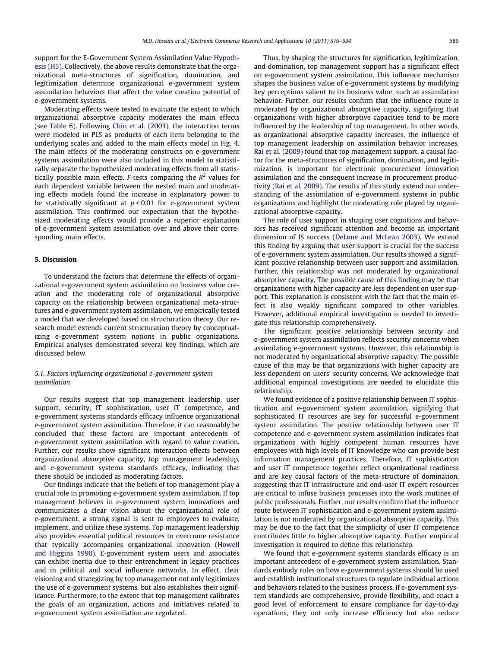support for the E-Government System Assimilation Value Hypothesis (H5). Collectively, the above results demonstrate that the organizational meta-structures of signification, domination, and legitimization determine organizational e-government system assimilation behaviors that affect the value creation potential of e-government systems.

Moderating effects were tested to evaluate the extent to which organizational absorptive capacity moderates the main effects (see Table 6). Following Chin et al. (2003), the interaction terms were modeled in PLS as products of each item belonging to the underlying scales and added to the main effects model in Fig. 4. The main effects of the moderating constructs on e-government systems assimilation were also included in this model to statistically separate the hypothesized moderating effects from all statistically possible main effects. F-tests comparing the  $R^2$  values for each dependent variable between the nested main and moderating effects models found the increase in explanatory power to be statistically significant at  $p < 0.01$  for e-government system assimilation. This confirmed our expectation that the hypothesized moderating effects would provide a superior explanation of e-government system assimilation over and above their corresponding main effects.

# 5. Discussion

To understand the factors that determine the effects of organizational e-government system assimilation on business value creation and the moderating role of organizational absorptive capacity on the relationship between organizational meta-structures and e-government system assimilation, we empirically tested a model that we developed based on structuration theory. Our research model extends current structuration theory by conceptualizing e-government system notions in public organizations. Empirical analyses demonstrated several key findings, which are discussed below.

# 5.1. Factors influencing organizational e-government system assimilation

Our results suggest that top management leadership, user support, security, IT sophistication, user IT competence, and e-government systems standards efficacy influence organizational e-government system assimilation. Therefore, it can reasonably be concluded that these factors are important antecedents of e-government system assimilation with regard to value creation. Further, our results show significant interaction effects between organizational absorptive capacity, top management leadership, and e-government systems standards efficacy, indicating that these should be included as moderating factors.

Our findings indicate that the beliefs of top management play a crucial role in promoting e-government system assimilation. If top management believes in e-government system innovations and communicates a clear vision about the organizational role of e-government, a strong signal is sent to employees to evaluate, implement, and utilize these systems. Top management leadership also provides essential political resources to overcome resistance that typically accompanies organizational innovation (Howell and Higgins 1990). E-government system users and associates can exhibit inertia due to their entrenchment in legacy practices and in political and social influence networks. In effect, clear visioning and strategizing by top management not only legitimizes the use of e-government systems, but also establishes their significance. Furthermore, to the extent that top management calibrates the goals of an organization, actions and initiatives related to e-government system assimilation are regulated.

Thus, by shaping the structures for signification, legitimization, and domination, top management support has a significant effect on e-government system assimilation. This influence mechanism shapes the business value of e-government systems by modifying key perceptions salient to its business value, such as assimilation behavior. Further, our results confirm that the influence route is moderated by organizational absorptive capacity, signifying that organizations with higher absorptive capacities tend to be more influenced by the leadership of top management. In other words, as organizational absorptive capacity increases, the influence of top management leadership on assimilation behavior increases. Rai et al. (2009) found that top management support, a causal factor for the meta-structures of signification, domination, and legitimization, is important for electronic procurement innovation assimilation and the consequent increase in procurement productivity (Rai et al. 2009). The results of this study extend our understanding of the assimilation of e-government systems in public organizations and highlight the moderating role played by organizational absorptive capacity.

The role of user support in shaping user cognitions and behaviors has received significant attention and become an important dimension of IS success (DeLone and McLean 2003). We extend this finding by arguing that user support is crucial for the success of e-government system assimilation. Our results showed a significant positive relationship between user support and assimilation. Further, this relationship was not moderated by organizational absorptive capacity. The possible cause of this finding may be that organizations with higher capacity are less dependent on user support. This explanation is consistent with the fact that the main effect is also weakly significant compared to other variables. However, additional empirical investigation is needed to investigate this relationship comprehensively.

The significant positive relationship between security and e-government system assimilation reflects security concerns when assimilating e-government systems. However, this relationship is not moderated by organizational absorptive capacity. The possible cause of this may be that organizations with higher capacity are less dependent on users' security concerns. We acknowledge that additional empirical investigations are needed to elucidate this relationship.

We found evidence of a positive relationship between IT sophistication and e-government system assimilation, signifying that sophisticated IT resources are key for successful e-government system assimilation. The positive relationship between user IT competence and e-government system assimilation indicates that organizations with highly competent human resources have employees with high levels of IT knowledge who can provide best information management practices. Therefore, IT sophistication and user IT competence together reflect organizational readiness and are key causal factors of the meta-structure of domination, suggesting that IT infrastructure and end-user IT expert resources are critical to infuse business processes into the work routines of public professionals. Further, our results confirm that the influence route between IT sophistication and e-government system assimilation is not moderated by organizational absorptive capacity. This may be due to the fact that the simplicity of user IT competence contributes little to higher absorptive capacity. Further empirical investigation is required to define this relationship.

We found that e-government systems standards efficacy is an important antecedent of e-government system assimilation. Standards embody rules on how e-government systems should be used and establish institutional structures to regulate individual actions and behaviors related to the business process. If e-government system standards are comprehensive, provide flexibility, and enact a good level of enforcement to ensure compliance for day-to-day operations, they not only increase efficiency but also reduce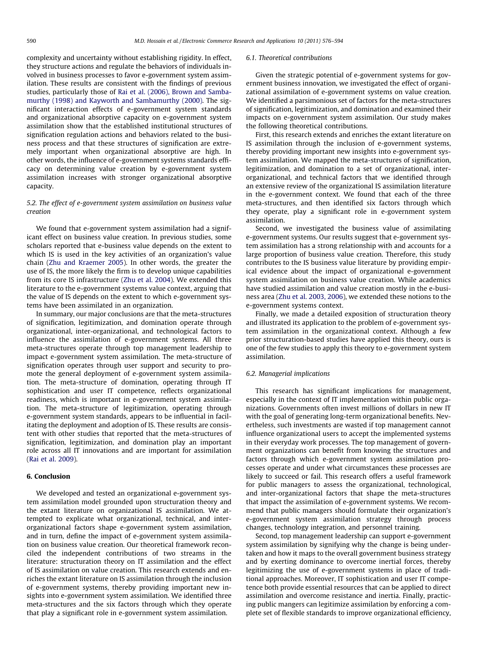complexity and uncertainty without establishing rigidity. In effect, they structure actions and regulate the behaviors of individuals involved in business processes to favor e-government system assimilation. These results are consistent with the findings of previous studies, particularly those of Rai et al. (2006), Brown and Sambamurthy (1998) and Kayworth and Sambamurthy (2000). The significant interaction effects of e-government system standards and organizational absorptive capacity on e-government system assimilation show that the established institutional structures of signification regulation actions and behaviors related to the business process and that these structures of signification are extremely important when organizational absorptive are high. In other words, the influence of e-government systems standards efficacy on determining value creation by e-government system assimilation increases with stronger organizational absorptive capacity.

# 5.2. The effect of e-government system assimilation on business value creation

We found that e-government system assimilation had a significant effect on business value creation. In previous studies, some scholars reported that e-business value depends on the extent to which IS is used in the key activities of an organization's value chain (Zhu and Kraemer 2005). In other words, the greater the use of IS, the more likely the firm is to develop unique capabilities from its core IS infrastructure (Zhu et al. 2004). We extended this literature to the e-government systems value context, arguing that the value of IS depends on the extent to which e-government systems have been assimilated in an organization.

In summary, our major conclusions are that the meta-structures of signification, legitimization, and domination operate through organizational, inter-organizational, and technological factors to influence the assimilation of e-government systems. All three meta-structures operate through top management leadership to impact e-government system assimilation. The meta-structure of signification operates through user support and security to promote the general deployment of e-government system assimilation. The meta-structure of domination, operating through IT sophistication and user IT competence, reflects organizational readiness, which is important in e-government system assimilation. The meta-structure of legitimization, operating through e-government system standards, appears to be influential in facilitating the deployment and adoption of IS. These results are consistent with other studies that reported that the meta-structures of signification, legitimization, and domination play an important role across all IT innovations and are important for assimilation (Rai et al. 2009).

# 6. Conclusion

We developed and tested an organizational e-government system assimilation model grounded upon structuration theory and the extant literature on organizational IS assimilation. We attempted to explicate what organizational, technical, and interorganizational factors shape e-government system assimilation, and in turn, define the impact of e-government system assimilation on business value creation. Our theoretical framework reconciled the independent contributions of two streams in the literature: structuration theory on IT assimilation and the effect of IS assimilation on value creation. This research extends and enriches the extant literature on IS assimilation through the inclusion of e-government systems, thereby providing important new insights into e-government system assimilation. We identified three meta-structures and the six factors through which they operate that play a significant role in e-government system assimilation.

### 6.1. Theoretical contributions

Given the strategic potential of e-government systems for government business innovation, we investigated the effect of organizational assimilation of e-government systems on value creation. We identified a parsimonious set of factors for the meta-structures of signification, legitimization, and domination and examined their impacts on e-government system assimilation. Our study makes the following theoretical contributions.

First, this research extends and enriches the extant literature on IS assimilation through the inclusion of e-government systems, thereby providing important new insights into e-government system assimilation. We mapped the meta-structures of signification, legitimization, and domination to a set of organizational, interorganizational, and technical factors that we identified through an extensive review of the organizational IS assimilation literature in the e-government context. We found that each of the three meta-structures, and then identified six factors through which they operate, play a significant role in e-government system assimilation.

Second, we investigated the business value of assimilating e-government systems. Our results suggest that e-government system assimilation has a strong relationship with and accounts for a large proportion of business value creation. Therefore, this study contributes to the IS business value literature by providing empirical evidence about the impact of organizational e-government system assimilation on business value creation. While academics have studied assimilation and value creation mostly in the e-business area (Zhu et al. 2003, 2006), we extended these notions to the e-government systems context.

Finally, we made a detailed exposition of structuration theory and illustrated its application to the problem of e-government system assimilation in the organizational context. Although a few prior structuration-based studies have applied this theory, ours is one of the few studies to apply this theory to e-government system assimilation.

# 6.2. Managerial implications

This research has significant implications for management, especially in the context of IT implementation within public organizations. Governments often invest millions of dollars in new IT with the goal of generating long-term organizational benefits. Nevertheless, such investments are wasted if top management cannot influence organizational users to accept the implemented systems in their everyday work processes. The top management of government organizations can benefit from knowing the structures and factors through which e-government system assimilation processes operate and under what circumstances these processes are likely to succeed or fail. This research offers a useful framework for public managers to assess the organizational, technological, and inter-organizational factors that shape the meta-structures that impact the assimilation of e-government systems. We recommend that public managers should formulate their organization's e-government system assimilation strategy through process changes, technology integration, and personnel training.

Second, top management leadership can support e-government system assimilation by signifying why the change is being undertaken and how it maps to the overall government business strategy and by exerting dominance to overcome inertial forces, thereby legitimizing the use of e-government systems in place of traditional approaches. Moreover, IT sophistication and user IT competence both provide essential resources that can be applied to direct assimilation and overcome resistance and inertia. Finally, practicing public mangers can legitimize assimilation by enforcing a complete set of flexible standards to improve organizational efficiency,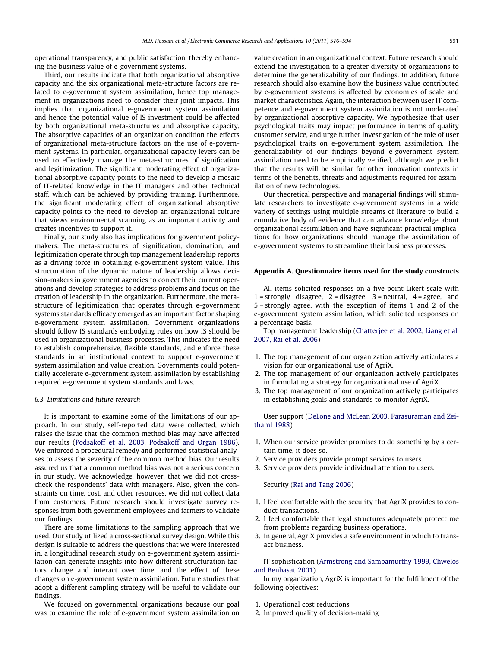operational transparency, and public satisfaction, thereby enhancing the business value of e-government systems.

Third, our results indicate that both organizational absorptive capacity and the six organizational meta-structure factors are related to e-government system assimilation, hence top management in organizations need to consider their joint impacts. This implies that organizational e-government system assimilation and hence the potential value of IS investment could be affected by both organizational meta-structures and absorptive capacity. The absorptive capacities of an organization condition the effects of organizational meta-structure factors on the use of e-government systems. In particular, organizational capacity levers can be used to effectively manage the meta-structures of signification and legitimization. The significant moderating effect of organizational absorptive capacity points to the need to develop a mosaic of IT-related knowledge in the IT managers and other technical staff, which can be achieved by providing training. Furthermore, the significant moderating effect of organizational absorptive capacity points to the need to develop an organizational culture that views environmental scanning as an important activity and creates incentives to support it.

Finally, our study also has implications for government policymakers. The meta-structures of signification, domination, and legitimization operate through top management leadership reports as a driving force in obtaining e-government system value. This structuration of the dynamic nature of leadership allows decision-makers in government agencies to correct their current operations and develop strategies to address problems and focus on the creation of leadership in the organization. Furthermore, the metastructure of legitimization that operates through e-government systems standards efficacy emerged as an important factor shaping e-government system assimilation. Government organizations should follow IS standards embodying rules on how IS should be used in organizational business processes. This indicates the need to establish comprehensive, flexible standards, and enforce these standards in an institutional context to support e-government system assimilation and value creation. Governments could potentially accelerate e-government system assimilation by establishing required e-government system standards and laws.

### 6.3. Limitations and future research

It is important to examine some of the limitations of our approach. In our study, self-reported data were collected, which raises the issue that the common method bias may have affected our results (Podsakoff et al. 2003, Podsakoff and Organ 1986). We enforced a procedural remedy and performed statistical analyses to assess the severity of the common method bias. Our results assured us that a common method bias was not a serious concern in our study. We acknowledge, however, that we did not crosscheck the respondents' data with managers. Also, given the constraints on time, cost, and other resources, we did not collect data from customers. Future research should investigate survey responses from both government employees and farmers to validate our findings.

There are some limitations to the sampling approach that we used. Our study utilized a cross-sectional survey design. While this design is suitable to address the questions that we were interested in, a longitudinal research study on e-government system assimilation can generate insights into how different structuration factors change and interact over time, and the effect of these changes on e-government system assimilation. Future studies that adopt a different sampling strategy will be useful to validate our findings.

We focused on governmental organizations because our goal was to examine the role of e-government system assimilation on value creation in an organizational context. Future research should extend the investigation to a greater diversity of organizations to determine the generalizability of our findings. In addition, future research should also examine how the business value contributed by e-government systems is affected by economies of scale and market characteristics. Again, the interaction between user IT competence and e-government system assimilation is not moderated by organizational absorptive capacity. We hypothesize that user psychological traits may impact performance in terms of quality customer service, and urge further investigation of the role of user psychological traits on e-government system assimilation. The generalizability of our findings beyond e-government system assimilation need to be empirically verified, although we predict that the results will be similar for other innovation contexts in terms of the benefits, threats and adjustments required for assimilation of new technologies.

Our theoretical perspective and managerial findings will stimulate researchers to investigate e-government systems in a wide variety of settings using multiple streams of literature to build a cumulative body of evidence that can advance knowledge about organizational assimilation and have significant practical implications for how organizations should manage the assimilation of e-government systems to streamline their business processes.

# Appendix A. Questionnaire items used for the study constructs

All items solicited responses on a five-point Likert scale with  $1 =$  strongly disagree,  $2 =$  disagree,  $3 =$  neutral,  $4 =$  agree, and 5 = strongly agree, with the exception of items 1 and 2 of the e-government system assimilation, which solicited responses on a percentage basis.

Top management leadership (Chatterjee et al. 2002, Liang et al. 2007, Rai et al. 2006)

- 1. The top management of our organization actively articulates a vision for our organizational use of AgriX.
- 2. The top management of our organization actively participates in formulating a strategy for organizational use of AgriX.
- 3. The top management of our organization actively participates in establishing goals and standards to monitor AgriX.

User support (DeLone and McLean 2003, Parasuraman and Zeithaml 1988)

- 1. When our service provider promises to do something by a certain time, it does so.
- 2. Service providers provide prompt services to users.
- 3. Service providers provide individual attention to users.

Security (Rai and Tang 2006)

- 1. I feel comfortable with the security that AgriX provides to conduct transactions.
- 2. I feel comfortable that legal structures adequately protect me from problems regarding business operations.
- 3. In general, AgriX provides a safe environment in which to transact business.

# IT sophistication (Armstrong and Sambamurthy 1999, Chwelos and Benbasat 2001)

In my organization, AgriX is important for the fulfillment of the following objectives:

- 1. Operational cost reductions
- 2. Improved quality of decision-making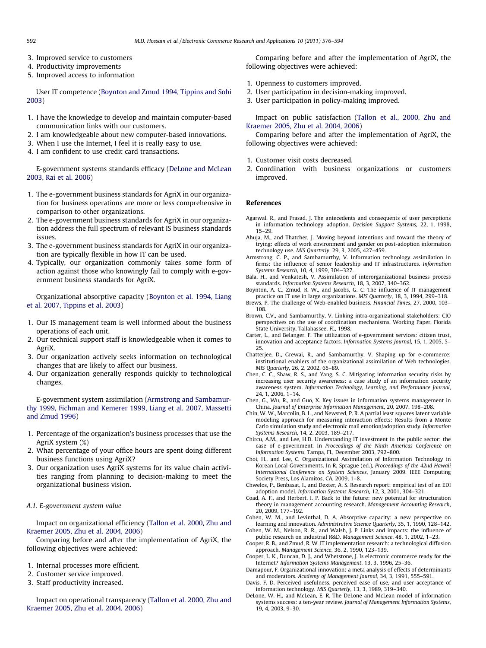- 3. Improved service to customers
- 4. Productivity improvements
- 5. Improved access to information

User IT competence (Boynton and Zmud 1994, Tippins and Sohi 2003)

- 1. I have the knowledge to develop and maintain computer-based communication links with our customers.
- 2. I am knowledgeable about new computer-based innovations.
- 3. When I use the Internet, I feel it is really easy to use.
- 4. I am confident to use credit card transactions.

E-government systems standards efficacy (DeLone and McLean 2003, Rai et al. 2006)

- 1. The e-government business standards for AgriX in our organization for business operations are more or less comprehensive in comparison to other organizations.
- 2. The e-government business standards for AgriX in our organization address the full spectrum of relevant IS business standards issues.
- 3. The e-government business standards for AgriX in our organization are typically flexible in how IT can be used.
- 4. Typically, our organization commonly takes some form of action against those who knowingly fail to comply with e-government business standards for AgriX.

Organizational absorptive capacity (Boynton et al. 1994, Liang et al. 2007, Tippins et al. 2003)

- 1. Our IS management team is well informed about the business operations of each unit.
- 2. Our technical support staff is knowledgeable when it comes to AgriX.
- 3. Our organization actively seeks information on technological changes that are likely to affect our business.
- 4. Our organization generally responds quickly to technological changes.

E-government system assimilation (Armstrong and Sambamurthy 1999, Fichman and Kemerer 1999, Liang et al. 2007, Massetti and Zmud 1996)

- 1. Percentage of the organization's business processes that use the AgriX system (%)
- 2. What percentage of your office hours are spent doing different business functions using AgriX?
- 3. Our organization uses AgriX systems for its value chain activities ranging from planning to decision-making to meet the organizational business vision.

# A.1. E-government system value

Impact on organizational efficiency (Tallon et al. 2000, Zhu and Kraemer 2005, Zhu et al. 2004, 2006)

Comparing before and after the implementation of AgriX, the following objectives were achieved:

- 1. Internal processes more efficient.
- 2. Customer service improved.
- 3. Staff productivity increased.

Impact on operational transparency (Tallon et al. 2000, Zhu and Kraemer 2005, Zhu et al. 2004, 2006)

Comparing before and after the implementation of AgriX, the following objectives were achieved:

- 1. Openness to customers improved.
- 2. User participation in decision-making improved.
- 3. User participation in policy-making improved.

Impact on public satisfaction (Tallon et al., 2000, Zhu and Kraemer 2005, Zhu et al. 2004, 2006)

Comparing before and after the implementation of AgriX, the following objectives were achieved:

- 1. Customer visit costs decreased.
- 2. Coordination with business organizations or customers improved.

# References

- Agarwal, R., and Prasad, J. The antecedents and consequents of user perceptions in information technology adoption. Decision Support Systems, 22, 1, 1998, 15–29.
- Ahuja, M., and Thatcher, J. Moving beyond intentions and toward the theory of trying: effects of work environment and gender on post-adoption information technology use. MIS Quarterly, 29, 3, 2005, 427–459.
- Armstrong, C. P., and Sambamurthy, V. Information technology assimilation in firms: the influence of senior leadership and IT infrastructures. Information Systems Research, 10, 4, 1999, 304–327.
- Bala, H., and Venkatesh, V. Assimilation of interorganizational business process standards. Information Systems Research, 18, 3, 2007, 340–362.
- Boynton, A. C., Zmud, R. W., and Jacobs, G. C. The influence of IT management practice on IT use in large organizations. MIS Quarterly, 18, 3, 1994, 299–318.
- Brews, P. The challenge of Web-enabled business. Financial Times, 27, 2000, 103– 108.
- Brown, C.V., and Sambamurthy, V. Linking intra-organizational stakeholders: CIO perspectives on the use of coordination mechanisms. Working Paper, Florida State University, Tallahassee, FL, 1998.
- Carter, L., and Belanger, F. The utilization of e-government services: citizen trust, innovation and acceptance factors. Information Systems Journal, 15, 1, 2005, 5– 25.
- Chatterjee, D., Grewai, R., and Sambamurthy, V. Shaping up for e-commerce: institutional enablers of the organizational assimilation of Web technologies. MIS Quarterly, 26, 2, 2002, 65–89.
- Chen, C. C., Shaw, R. S., and Yang, S. C. Mitigating information security risks by increasing user security awareness: a case study of an information security awareness system. Information Technology, Learning, and Performance Journal, 24, 1, 2006, 1–14.
- Chen, G., Wu, R., and Guo, X. Key issues in information systems management in China. Journal of Enterprise Information Management, 20, 2007, 198–208.
- Chin, W. W., Marcolin, B. L., and Newsted, P. R. A partial least squares latent variable modeling approach for measuring interaction effects: Results from a Monte Carlo simulation study and electronic mail emotion/adoption study. Information Systems Research, 14, 2, 2003, 189–217.
- Chircu, A.M., and Lee, H.D. Understanding IT investment in the public sector: the case of e-government. In Proceedings of the Ninth Americas Conference on Information Systems, Tampa, FL, December 2003, 792–800.
- Choi, H., and Lee, C. Organizational Assimilation of Information Technology in Korean Local Governments. In R. Sprague (ed.), Proceedings of the 42nd Hawaii International Conference on System Sciences, January 2009, IEEE Computing Society Press, Los Alamitos, CA, 2009, 1–8.
- Chwelos, P., Benbasat, I., and Dexter, A. S. Research report: empirical test of an EDI adoption model. Information Systems Research, 12, 3, 2001, 304–321.
- Coad, A. F., and Herbert, I. P. Back to the future: new potential for structuration theory in management accounting research. Management Accounting Research, 20, 2009, 177–192.
- Cohen, W. M., and Levinthal, D. A. Absorptive capacity: a new perspective on learning and innovation. Administrative Science Quarterly, 35, 1, 1990, 128–142.
- Cohen, W. M., Nelson, R. R., and Walsh, J. P. Links and impacts: the influence of public research on industrial R&D. Management Science, 48, 1, 2002, 1–23.
- Cooper, R. B., and Zmud, R. W. IT implementation research: a technological diffusion approach. Management Science, 36, 2, 1990, 123–139.
- Cooper, L. K., Duncan, D. J., and Whetstone, J. Is electronic commerce ready for the Internet? Information Systems Management, 13, 3, 1996, 25–36.
- Damapour, F. Organizational innovation: a meta analysis of effects of determinants and moderators. Academy of Management Journal, 34, 3, 1991, 555–591.
- Davis, F. D. Perceived usefulness, perceived ease of use, and user acceptance of information technology. MIS Quarterly, 13, 3, 1989, 319–340.
- DeLone, W. H., and McLean, E. R. The DeLone and McLean model of information systems success: a ten-year review. Journal of Management Information Systems, 19, 4, 2003, 9–30.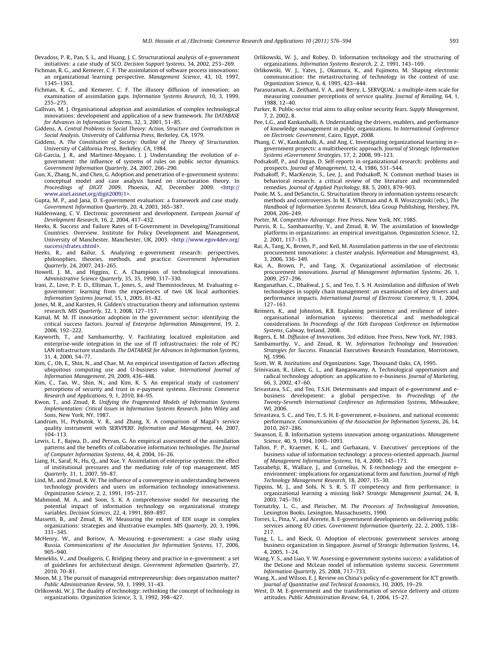- Devadoss, P. R., Pan, S. L., and Huang, J. C. Structurational analysis of e-government initiatives: a case study of SCO. Decision Support Systems, 34, 2002, 253–269.
- Fichman, R. G., and Kemerer, C. F. The assimilation of software process innovations: an organizational learning perspective. Management Science, 43, 10, 1997, 1345–1363.
- Fichman, R. G., and Kemerer, C. F. The illusory diffusion of innovation: an examination of assimilation gaps. Information Systems Research, 10, 3, 1999, 255–275.
- Gallivan, M. J. Organisational adoption and assimilation of complex technological innovations: development and application of a new framework. The DATABASE for Advances in Information Systems, 32, 3, 2001, 51–85.
- Giddens, A. Central Problems in Social Theory: Action, Structure and Contradiction in Social Analysis. University of California Press, Berkeley, CA, 1979.
- Giddens, A. The Constitution of Society: Outline of the Theory of Structuration. University of California Press, Berkeley, CA, 1984.
- Gil-Garcia, J. R., and Martinez-Moyano, I. J. Understanding the evolution of egovernment: the influence of systems of rules on public sector dynamics. Government Information Quarterly, 24, 2007, 266–290.
- Guo, X., Zhang, N., and Chen, G. Adoption and penetration of e-government systems: conceptual model and case analysis based on structuration theory. In Proceedings of DIGIT 2009, Phoenix, AZ, December 2009. <http:// www.aisel.aisnet.org/digit2009/1>.
- Gupta, M. P., and Jana, D. E-government evaluation: a framework and case study. Government Information Quarterly, 20, 4, 2003, 365–387.
- Haldenwang, C. V. Electronic government and development. European Journal of Development Research, 16, 2, 2004, 417–432.
- Heeks, R. Success and Failure Rates of E-Government in Developing/Transitional Countries: Overview. Institute for Policy Development and Management, University of Manchester, Manchester, UK, 2003. <http://www.egov4dev.org/ success/sfrates.shtml>.
- Heeks, R., and Bailur, S. Analyzing e-government research: perspectives, philosophies, theories, methods, and practice. Government Information Quarterly, 24, 2007, 243–265.
- Howell, J. M., and Higgins, C. A. Champions of technological innovations. Administrative Science Quarterly, 35, 35, 1990, 317–330.
- Irani, Z., Love, P. E. D., Elliman, T., Jones, S., and Themistocleous, M. Evaluating egovernment: learning from the experiences of two UK local authorities. Information Systems Journal, 15, 1, 2005, 61–82.
- Jones, M. R., and Karsten, H. Gidden's structuration theory and information systems research. MIS Quarterly, 32, 1, 2008, 127–157.
- Kamal, M. M. IT innovation adoption in the government sector: identifying the critical success factors. Journal of Enterprise Information Management, 19, 2, 2006, 192–222.
- Kayworth, T., and Sambamurthy, V. Facilitating localized exploitation and enterprise-wide integration in the use of IT infrastructures: the role of PC/ LAN infrastructure standards. The DATABASE for Advances in Information Systems, 31, 4, 2000, 54–77.
- Kim, C., Oh, E., Shin, N., and Chae, M. An empirical investigation of factors affecting ubiquitous computing use and U-business value. International Journal of Information Management, 29, 2009, 436–448.
- Kim, C., Tao, W., Shin, N., and Kim, K. S. An empirical study of customers' perceptions of security and trust in e-payment systems. Electronic Commerce Research and Applications, 9, 1, 2010, 84–95.
- Kwon, T., and Zmud, R. Unifying the Fragmented Models of Information Systems Implementation: Critical Issues in Information Systems Research. John Wiley and Sons, New York, NY, 1987.
- Landrum, H., Prybutok, V. R., and Zhang, X. A comparison of Magal's service quality instrument with SERVPERF. Information and Management, 44, 2007, 104–113.
- Lewis, L. F., Bajwa, D., and Pervan, G. An empirical assessment of the assimilation patterns and the benefits of collaborative information technologies. The Journal of Computer Information Systems, 44, 4, 2004, 16–26.
- Liang, H., Saraf, N., Hu, Q., and Xue, Y. Assimilation of enterprise systems: the effect of institutional pressures and the mediating role of top management. MIS Quarterly, 31, 1, 2007, 59–87.
- Lind, M., and Zmud, R. W. The influence of a convergence in understanding between technology providers and users on information technology innovativeness. Organization Science, 2, 2, 1991, 195–217.
- Mahmood, M. A., and Soon, S. K. A comprehensive model for measuring the potential impact of information technology on organizational strategy variables. Decision Sciences, 22, 4, 1991, 869–897.
- Massetti, B., and Zmud, R. W. Measuring the extent of EDI usage in complex organizations: strategies and illustrative examples. MIS Quarterly, 20, 3, 1996, 331–345.
- McHenry, W., and Borisov, A. Measuring e-government: a case study using Russia. Communications of the Association for Information Systems, 17, 2006, 905–940.
- Meneklis, V., and Douligeris, C. Bridging theory and practice in e-government: a set of guidelines for architectural design. Government Information Quarterly, 27, 2010, 70–81.
- Moon, M. J. The pursuit of managerial entrepreneurship: does organization matter? Public Administration Review, 59, 1, 1999, 31–43.
- Orlikowski, W. J. The duality of technology: rethinking the concept of technology in organizations. Organization Science, 3, 3, 1992, 398–427.
- Orlikowski, W. J., and Robey, D. Information technology and the structuring of organizations. Information Systems Research, 2, 2, 1991, 143–169.
- Orlikowski, W. J., Yates, J., Okamura, K., and Fujimoto, M. Shaping electronic communication: the metastructuring of technology in the context of use. Organization Science, 6, 4, 1995, 423–444.
- Parasuraman, A., Zeithaml, V. A., and Berry, L. SERVQUAL: a multiple-item scale for measuring consumer perceptions of service quality. Journal of Retailing, 64, 1, 1988, 12–40.
- Parker, R. Public-sector trial aims to allay online security fears. Supply Management, 7, 2, 2002, 8.
- Pee, L.G., and Kankanhalli, A. Understanding the drivers, enablers, and performance of knowledge management in public organizations. In International Conference on Electronic Government, Cairo, Egypt, 2008.
- Phang, C. W., Kankanhalli, A., and Ang, C. Investigating organizational learning in egovernment projects: a multitheoretic approach. Journal of Strategic Information Systems eGovernment Strategies, 17, 2, 2008, 99–123.
- Podsakoff, P., and Organ, D. Self-reports in organizational research: problems and prospects. Journal of Management, 12, 4, 1986, 531–544.
- Podsakoff, P., MacKenzie, S., Lee, J., and Podsakoff, N. Common method biases in behavioral research: a critical review of the literature and recommended remedies. Journal of Applied Psychology, 88, 5, 2003, 879–903.
- Poole, M. S., and DeSanctis, G. Structuration theory in information systems research: methods and controversies. In M. E. Whitman and A. B. Woszczynski (eds.), The Handbook of Information Systems Research, Idea Group Publishing, Hershey, PA, 2004, 206–249.
- Porter, M. Competitive Advantage. Free Press, New York, NY, 1985.
- Purvis, R. L., Sambamurthy, V., and Zmud, R. W. The assimilation of knowledge platforms in organizations: an empirical investigation. Organization Science, 12, 2, 2001, 117–135.
- Rai, A., Tang, X., Brown, P., and Keil, M. Assimilation patterns in the use of electronic procurement innovations: a cluster analysis. Information and Management, 43, 3, 2006, 336–349.
- Rai, A., Brown, P., and Tang, X. Organizational assimilation of electronic procurement innovations. Journal of Management Information Systems, 26, 1, 2009, 257–296.
- Ranganathan, C., Dhaliwal, J. S., and Teo, T. S. H. Assimilation and diffusion of Web technologies in supply chain management: an examination of key drivers and performance impacts. International Journal of Electronic Commerce, 9, 1, 2004, 127–161.
- Reimers, K., and Johnston, R.B. Explaining persistence and resilience of inter-organisational information systems: theoretical and methodological considerations. In Proceedings of the 16th European Conference on Information Systems, Galway, Ireland, 2008.

Rogers, E. M. Diffusion of Innovations, 3rd edition. Free Press, New York, NY, 1983.

- Sambamurthy, V., and Zmud, R. W. Information Technology and Innovation: Strategies for Success. Financial Executives Research Foundation, Morristown, NI, 1996.
- Scott, W. R. Institutions and Organizations. Sage, Thousand Oaks, CA, 1995.
- Srinivasan, R., Lilien, G. L., and Rangaswamy, A. Technological opportunism and radical technology adoption: an application to e-business. Journal of Marketing, 66, 3, 2002, 47–60.
- Srivastava, S.C., and Teo, T.S.H. Determinants and impact of e-government and ebusiness development: a global perspective. In Proceedings of the Twenty-Seventh International Conference on Information Systems, Milwaukee, WI<sub>2006</sub>
- Srivastava, S. C., and Teo, T. S. H. E-government, e-business, and national economic performance. Communications of the Association for Information Systems, 26, 14, 2010, 267–286.
- Swanson, E. B. Information systems innovation among organizations. Management Science, 40, 9, 1994, 1069-1093.
- Tallon, P. P., Kraemer, K. L., and Gurbaxani, V. Executives' perceptions of the business value of information technology: a process-oriented approach. Journal of Management Information Systems, 16, 4, 2000, 145–173.
- Tassabehji, R., Wallace, J., and Cornelius, N. E-technology and the emergent eenvironment: implications for organizational form and function. Journal of High Technology Management Research, 18, 2007, 15–30.
- Tippins, M. J., and Sohi, N. S. R. S. IT competency and firm performance: is organizational learning a missing link? Strategic Management Journal, 24, 8, 2003, 745–761.
- Tornatzky, L. G., and Fleischer, M. The Processes of Technological Innovation, Lexington Books, Lexington, Massachusetts, 1990.
- Torres, L., Pina, V., and Acerete, B. E-government developments on delivering public services among EU cities. Government Information Quarterly, 22, 2, 2005, 138– 217.
- Tung, L. L., and Rieck, O. Adoption of electronic government services among business organization in Singapore. Journal of Strategic Information Systems, 14, 4, 2005, 1–24.
- Wang, Y. S., and Liao, Y. W. Assessing e-government systems success: a validation of the DeLone and McLean model of information systems success. Government Information Quarterly, 25, 2008, 717–733.
- Wang, X., and Wilson, E. J. Review on China's policy of e-government for ICT growth. Journal of Quantitative and Technical Economics, 10, 2005, 19–29.
- West, D. M. E-government and the transformation of service delivery and citizen attitudes. Public Administration Review, 64, 1, 2004, 15–27.